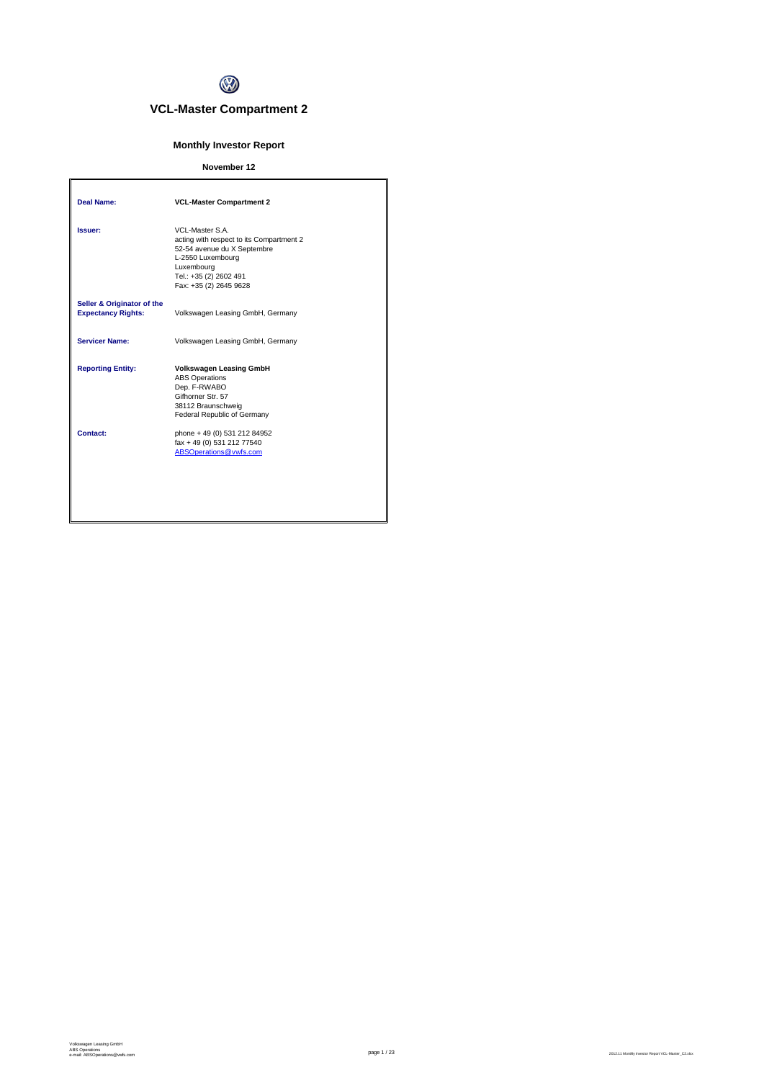

# **VCL-Master Compartment 2**

# **Monthly Investor Report**

## **November 12**

| Deal Name:                                              | <b>VCL-Master Compartment 2</b>                                                                                                                                                   |
|---------------------------------------------------------|-----------------------------------------------------------------------------------------------------------------------------------------------------------------------------------|
| Issuer:                                                 | VCL-Master S.A.<br>acting with respect to its Compartment 2<br>52-54 avenue du X Septembre<br>L-2550 Luxembourg<br>Luxembourg<br>Tel.: +35 (2) 2602 491<br>Fax: +35 (2) 2645 9628 |
| Seller & Originator of the<br><b>Expectancy Rights:</b> | Volkswagen Leasing GmbH, Germany                                                                                                                                                  |
| <b>Servicer Name:</b>                                   | Volkswagen Leasing GmbH, Germany                                                                                                                                                  |
| <b>Reporting Entity:</b>                                | <b>Volkswagen Leasing GmbH</b><br><b>ABS Operations</b><br>Dep. F-RWABO<br>Gifhorner Str. 57<br>38112 Braunschweig<br>Federal Republic of Germany                                 |
| Contact:                                                | phone + 49 (0) 531 212 84952<br>fax + 49 (0) 531 212 77540<br>ABSOperations@vwfs.com                                                                                              |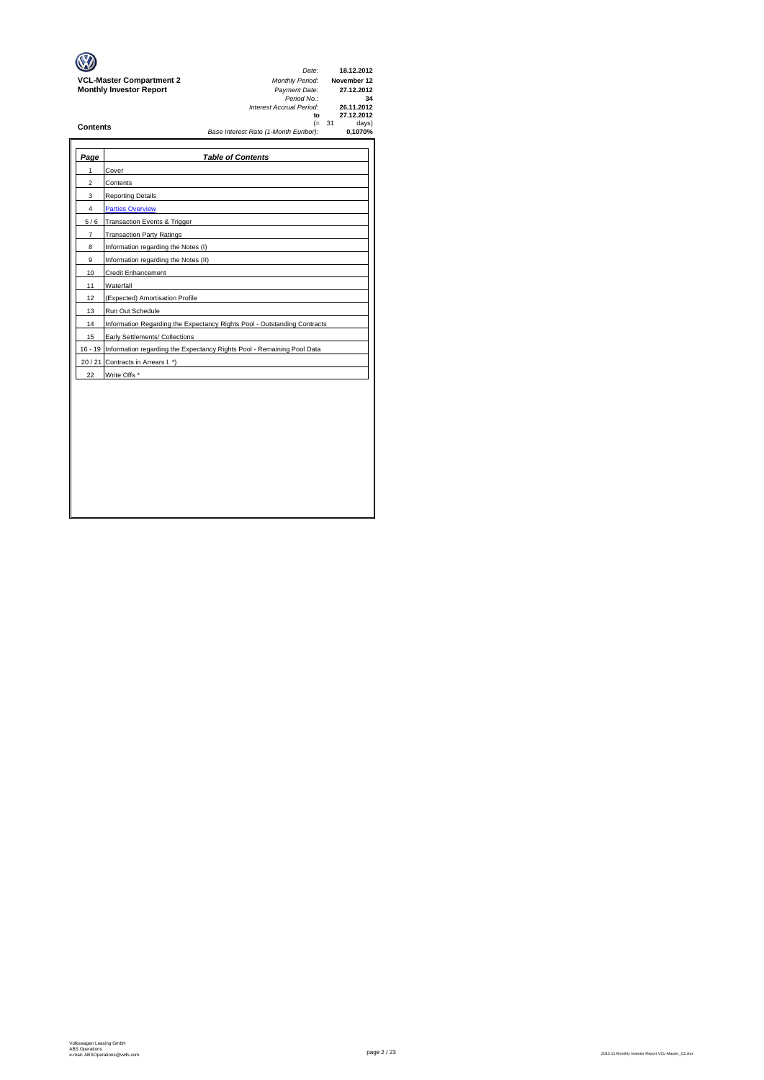| Page           | <b>Table of Contents</b>                                                       |
|----------------|--------------------------------------------------------------------------------|
| 1              | Cover                                                                          |
| $\overline{2}$ | Contents                                                                       |
| 3              | <b>Reporting Details</b>                                                       |
| 4              | <b>Parties Overview</b>                                                        |
| 5/6            | Transaction Events & Trigger                                                   |
| $\overline{7}$ | <b>Transaction Party Ratings</b>                                               |
| 8              | Information regarding the Notes (I)                                            |
| 9              | Information regarding the Notes (II)                                           |
| 10             | <b>Credit Enhancement</b>                                                      |
| 11             | Waterfall                                                                      |
| 12             | (Expected) Amortisation Profile                                                |
| 13             | Run Out Schedule                                                               |
| 14             | Information Regarding the Expectancy Rights Pool - Outstanding Contracts       |
| 15             | Early Settlements/ Collections                                                 |
|                | 16 - 19 Information regarding the Expectancy Rights Pool - Remaining Pool Data |
|                | 20 / 21 Contracts in Arrears I. *)                                             |
| 22             | Write Offs*                                                                    |
|                |                                                                                |
|                |                                                                                |
|                |                                                                                |
|                |                                                                                |
|                |                                                                                |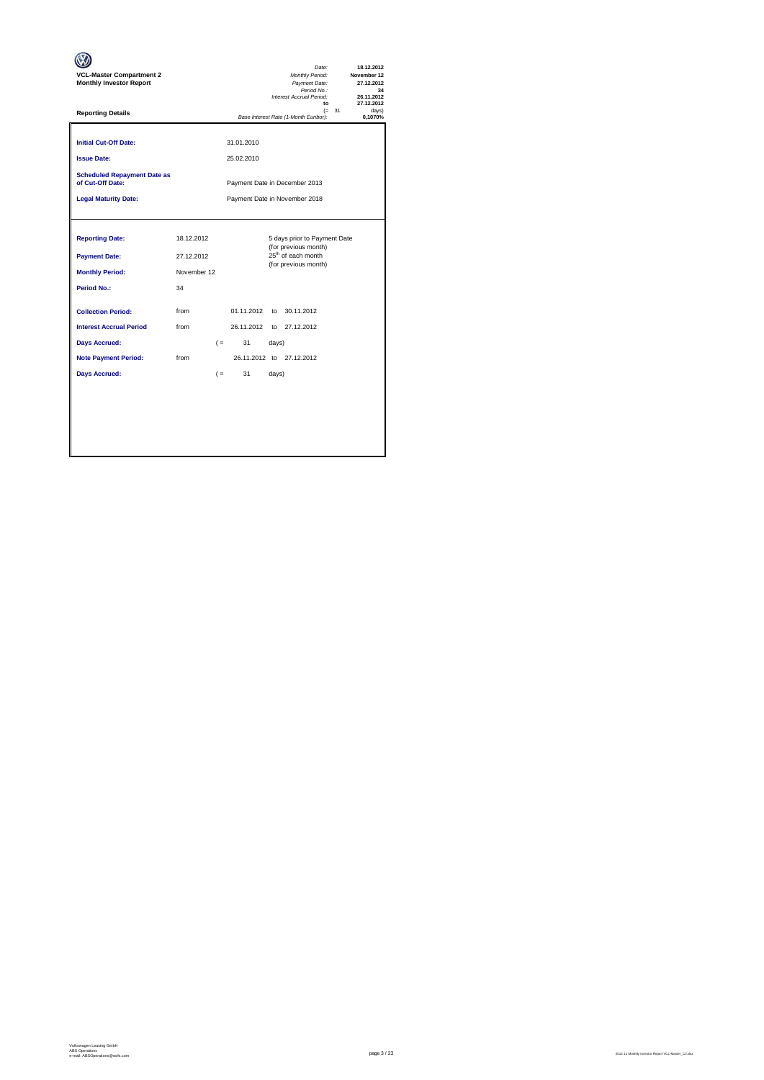| <b>VCL-Master Compartment 2</b><br><b>Monthly Investor Report</b>                                                                          |                                               |                |                          | Date:<br>Monthly Period:<br>Payment Date:<br>Period No.:<br>Interest Accrual Period:<br>$\mathbf{f}$           |          | 18.12.2012<br>November 12<br>27.12.2012<br>34<br>26.11.2012<br>27.12.2012 |
|--------------------------------------------------------------------------------------------------------------------------------------------|-----------------------------------------------|----------------|--------------------------|----------------------------------------------------------------------------------------------------------------|----------|---------------------------------------------------------------------------|
| <b>Reporting Details</b>                                                                                                                   |                                               |                |                          | Base Interest Rate (1-Month Euribor):                                                                          | $(= 31)$ | davs)<br>0.1070%                                                          |
| <b>Initial Cut-Off Date:</b><br><b>Issue Date:</b>                                                                                         |                                               |                | 31.01.2010<br>25.02.2010 |                                                                                                                |          |                                                                           |
| <b>Scheduled Repayment Date as</b><br>of Cut-Off Date:                                                                                     |                                               |                |                          | Payment Date in December 2013                                                                                  |          |                                                                           |
| <b>Legal Maturity Date:</b>                                                                                                                |                                               |                |                          | Payment Date in November 2018                                                                                  |          |                                                                           |
| <b>Reporting Date:</b><br><b>Payment Date:</b><br><b>Monthly Period:</b><br><b>Period No.:</b>                                             | 18.12.2012<br>27.12.2012<br>November 12<br>34 |                |                          | 5 days prior to Payment Date<br>(for previous month)<br>25 <sup>th</sup> of each month<br>(for previous month) |          |                                                                           |
| <b>Collection Period:</b><br><b>Interest Accrual Period</b><br><b>Days Accrued:</b><br><b>Note Payment Period:</b><br><b>Days Accrued:</b> | from<br>from<br>from                          | $($ =<br>$($ = | 01.11.2012<br>31<br>31   | to 30.11.2012<br>26.11.2012 to 27.12.2012<br>days)<br>26.11.2012 to 27.12.2012<br>days)                        |          |                                                                           |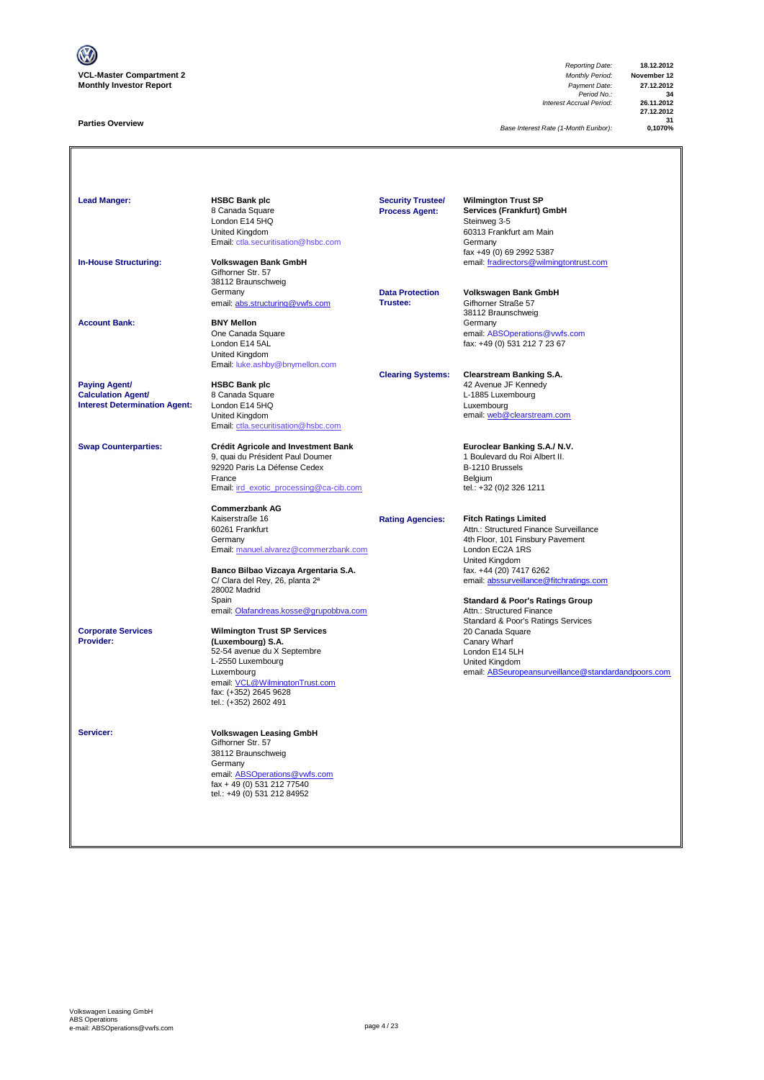

### **Parties Overview**

*Reporting Date:* **18.12.2012** *Period No.:* **34** *Interest Accrual Period:* **26.11.2012**

**27.12.2012 31**

*Base Interest Rate (1-Month Euribor):* **0,1070%**

| <b>Lead Manger:</b>                                                                       | <b>HSBC Bank plc</b><br>8 Canada Square<br>London E14 5HQ<br>United Kingdom<br>Email: ctla.securitisation@hsbc.com                                                                                                                                       | <b>Security Trustee/</b><br><b>Process Agent:</b> | <b>Wilmington Trust SP</b><br>Services (Frankfurt) GmbH<br>Steinweg 3-5<br>60313 Frankfurt am Main<br>Germany<br>fax +49 (0) 69 2992 5387                                                                                                                           |
|-------------------------------------------------------------------------------------------|----------------------------------------------------------------------------------------------------------------------------------------------------------------------------------------------------------------------------------------------------------|---------------------------------------------------|---------------------------------------------------------------------------------------------------------------------------------------------------------------------------------------------------------------------------------------------------------------------|
| <b>In-House Structuring:</b>                                                              | Volkswagen Bank GmbH<br>Gifhorner Str. 57<br>38112 Braunschweig<br>Germany<br>email: abs.structuring@vwfs.com                                                                                                                                            | <b>Data Protection</b><br><b>Trustee:</b>         | email: fradirectors@wilmingtontrust.com<br>Volkswagen Bank GmbH<br>Gifhorner Straße 57                                                                                                                                                                              |
| <b>Account Bank:</b>                                                                      | <b>BNY Mellon</b><br>One Canada Square<br>London E14 5AL<br>United Kingdom<br>Email: luke.ashby@bnymellon.com                                                                                                                                            |                                                   | 38112 Braunschweig<br>Germany<br>email: ABSOperations@vwfs.com<br>fax: +49 (0) 531 212 7 23 67                                                                                                                                                                      |
| <b>Paying Agent/</b><br><b>Calculation Agent/</b><br><b>Interest Determination Agent:</b> | <b>HSBC Bank plc</b><br>8 Canada Square<br>London E14 5HQ<br>United Kingdom<br>Email: ctla.securitisation@hsbc.com                                                                                                                                       | <b>Clearing Systems:</b>                          | <b>Clearstream Banking S.A.</b><br>42 Avenue JF Kennedy<br>L-1885 Luxembourg<br>Luxembourg<br>email: web@clearstream.com                                                                                                                                            |
| <b>Swap Counterparties:</b>                                                               | Crédit Agricole and Investment Bank<br>9, quai du Président Paul Doumer<br>92920 Paris La Défense Cedex<br>France<br>Email: ird_exotic_processing@ca-cib.com<br><b>Commerzbank AG</b>                                                                    |                                                   | Euroclear Banking S.A./ N.V.<br>1 Boulevard du Roi Albert II.<br>B-1210 Brussels<br>Belgium<br>tel.: +32 (0)2 326 1211                                                                                                                                              |
|                                                                                           | Kaiserstraße 16<br>60261 Frankfurt<br>Germany<br>Email: manuel.alvarez@commerzbank.com<br>Banco Bilbao Vizcaya Argentaria S.A.<br>C/ Clara del Rey, 26, planta 2ª<br>28002 Madrid<br>Spain                                                               | <b>Rating Agencies:</b>                           | <b>Fitch Ratings Limited</b><br>Attn.: Structured Finance Surveillance<br>4th Floor, 101 Finsbury Pavement<br>London EC2A 1RS<br>United Kingdom<br>fax. +44 (20) 7417 6262<br>email: abssurveillance@fitchratings.com<br><b>Standard &amp; Poor's Ratings Group</b> |
| <b>Corporate Services</b><br>Provider:                                                    | email: Olafandreas.kosse@grupobbva.com<br><b>Wilmington Trust SP Services</b><br>(Luxembourg) S.A.<br>52-54 avenue du X Septembre<br>L-2550 Luxembourg<br>Luxembourg<br>email: VCL@WilmingtonTrust.com<br>fax: (+352) 2645 9628<br>tel.: (+352) 2602 491 |                                                   | Attn.: Structured Finance<br>Standard & Poor's Ratings Services<br>20 Canada Square<br>Canary Wharf<br>London E14 5LH<br>United Kingdom<br>email: ABSeuropeansurveillance@standardandpoors.com                                                                      |
| Servicer:                                                                                 | <b>Volkswagen Leasing GmbH</b><br>Gifhorner Str. 57<br>38112 Braunschweig<br>Germany<br>email: ABSOperations@vwfs.com<br>fax + 49 (0) 531 212 77540<br>tel.: +49 (0) 531 212 84952                                                                       |                                                   |                                                                                                                                                                                                                                                                     |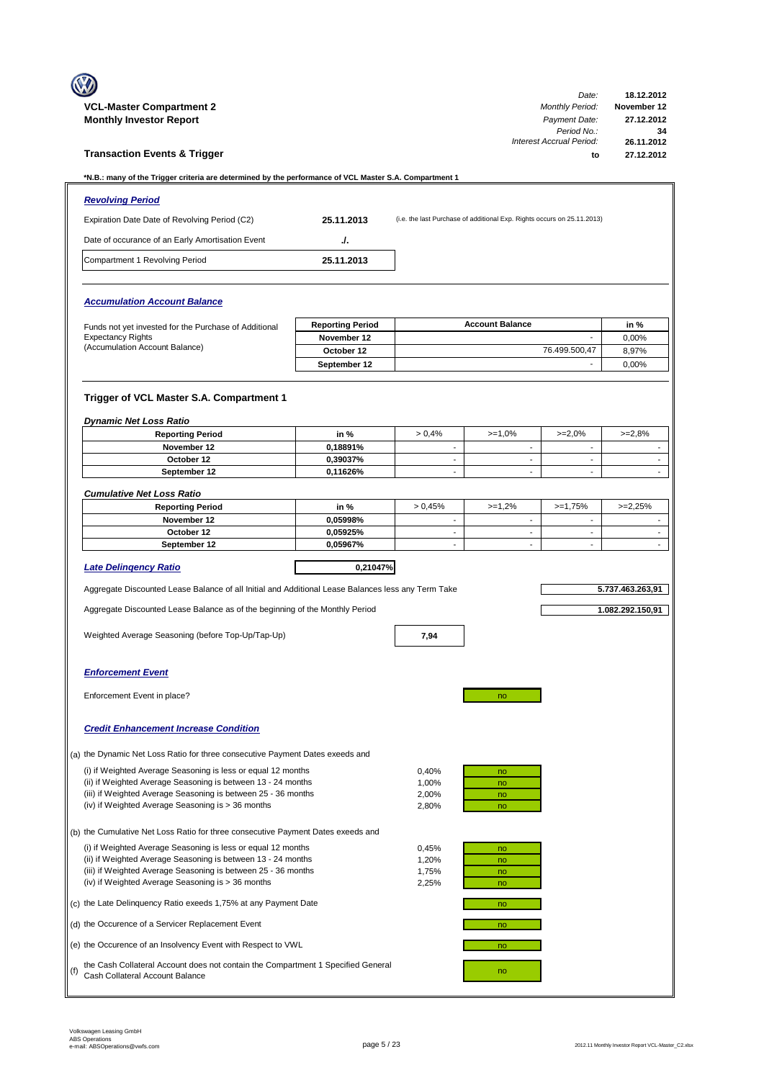|     |                                                                                                                                                                                    |                            |                          |                                                                         | Date:                                                                              | 18.12.2012                                    |
|-----|------------------------------------------------------------------------------------------------------------------------------------------------------------------------------------|----------------------------|--------------------------|-------------------------------------------------------------------------|------------------------------------------------------------------------------------|-----------------------------------------------|
|     | <b>VCL-Master Compartment 2</b><br><b>Monthly Investor Report</b>                                                                                                                  |                            |                          |                                                                         | <b>Monthly Period:</b><br>Payment Date:<br>Period No.:<br>Interest Accrual Period: | November 12<br>27.12.2012<br>34<br>26.11.2012 |
|     | <b>Transaction Events &amp; Trigger</b>                                                                                                                                            |                            |                          |                                                                         | to                                                                                 | 27.12.2012                                    |
|     | *N.B.: many of the Trigger criteria are determined by the performance of VCL Master S.A. Compartment 1                                                                             |                            |                          |                                                                         |                                                                                    |                                               |
|     | <b>Revolving Period</b>                                                                                                                                                            |                            |                          |                                                                         |                                                                                    |                                               |
|     | Expiration Date Date of Revolving Period (C2)                                                                                                                                      | 25.11.2013                 |                          | (i.e. the last Purchase of additional Exp. Rights occurs on 25.11.2013) |                                                                                    |                                               |
|     | Date of occurance of an Early Amortisation Event                                                                                                                                   | ./.                        |                          |                                                                         |                                                                                    |                                               |
|     | Compartment 1 Revolving Period                                                                                                                                                     | 25.11.2013                 |                          |                                                                         |                                                                                    |                                               |
|     |                                                                                                                                                                                    |                            |                          |                                                                         |                                                                                    |                                               |
|     | <b>Accumulation Account Balance</b>                                                                                                                                                |                            |                          |                                                                         |                                                                                    |                                               |
|     | Funds not yet invested for the Purchase of Additional                                                                                                                              | <b>Reporting Period</b>    |                          | <b>Account Balance</b>                                                  |                                                                                    | in %                                          |
|     | <b>Expectancy Rights</b><br>(Accumulation Account Balance)                                                                                                                         | November 12                |                          |                                                                         |                                                                                    | 0,00%                                         |
|     |                                                                                                                                                                                    | October 12<br>September 12 |                          |                                                                         | 76.499.500.47<br>$\overline{\phantom{a}}$                                          | 8,97%<br>0,00%                                |
|     |                                                                                                                                                                                    |                            |                          |                                                                         |                                                                                    |                                               |
|     | Trigger of VCL Master S.A. Compartment 1                                                                                                                                           |                            |                          |                                                                         |                                                                                    |                                               |
|     | <b>Dynamic Net Loss Ratio</b><br><b>Reporting Period</b>                                                                                                                           | in %                       | > 0,4%                   | $>=1,0%$                                                                | $>=2,0%$                                                                           | $>=2,8%$                                      |
|     | November 12                                                                                                                                                                        | 0,18891%                   | $\overline{\phantom{a}}$ | $\sim$                                                                  | $\overline{\phantom{a}}$                                                           | $\overline{\phantom{a}}$                      |
|     | October 12                                                                                                                                                                         | 0,39037%                   |                          | $\overline{\phantom{a}}$                                                |                                                                                    | $\overline{a}$                                |
|     | September 12                                                                                                                                                                       | 0,11626%                   | $\sim$                   | $\sim$                                                                  | $\sim$                                                                             |                                               |
|     | <b>Cumulative Net Loss Ratio</b>                                                                                                                                                   |                            |                          |                                                                         |                                                                                    |                                               |
|     | <b>Reporting Period</b><br>November 12                                                                                                                                             | in %<br>0.05998%           | > 0.45%<br>$\sim$        | $>=1,2%$<br>$\sim$                                                      | $>=1,75%$<br>$\sim$                                                                | $>=2,25%$<br>$\overline{\phantom{a}}$         |
|     | October 12                                                                                                                                                                         | 0.05925%                   | $\overline{\phantom{0}}$ | $\overline{\phantom{a}}$                                                | $\overline{\phantom{a}}$                                                           | $\overline{a}$                                |
|     | September 12                                                                                                                                                                       | 0,05967%                   | $\blacksquare$           | $\blacksquare$                                                          |                                                                                    |                                               |
|     | <b>Late Delingency Ratio</b>                                                                                                                                                       | 0,21047%                   |                          |                                                                         |                                                                                    |                                               |
|     | Aggregate Discounted Lease Balance of all Initial and Additional Lease Balances less any Term Take                                                                                 |                            |                          |                                                                         |                                                                                    | 5.737.463.263,91                              |
|     | Aggregate Discounted Lease Balance as of the beginning of the Monthly Period                                                                                                       |                            |                          |                                                                         |                                                                                    | 1.082.292.150,91                              |
|     | Weighted Average Seasoning (before Top-Up/Tap-Up)                                                                                                                                  |                            | 7,94                     |                                                                         |                                                                                    |                                               |
|     |                                                                                                                                                                                    |                            |                          |                                                                         |                                                                                    |                                               |
|     | <b>Enforcement Event</b>                                                                                                                                                           |                            |                          |                                                                         |                                                                                    |                                               |
|     | Enforcement Event in place?                                                                                                                                                        |                            |                          | no                                                                      |                                                                                    |                                               |
|     |                                                                                                                                                                                    |                            |                          |                                                                         |                                                                                    |                                               |
|     | <b>Credit Enhancement Increase Condition</b>                                                                                                                                       |                            |                          |                                                                         |                                                                                    |                                               |
|     | (a) the Dynamic Net Loss Ratio for three consecutive Payment Dates exeeds and                                                                                                      |                            |                          |                                                                         |                                                                                    |                                               |
|     | (i) if Weighted Average Seasoning is less or equal 12 months                                                                                                                       |                            | 0,40%                    | no                                                                      |                                                                                    |                                               |
|     | (ii) if Weighted Average Seasoning is between 13 - 24 months<br>(iii) if Weighted Average Seasoning is between 25 - 36 months                                                      |                            | 1,00%<br>2,00%           | no<br>no                                                                |                                                                                    |                                               |
|     | (iv) if Weighted Average Seasoning is > 36 months                                                                                                                                  |                            | 2,80%                    | no                                                                      |                                                                                    |                                               |
|     | (b) the Cumulative Net Loss Ratio for three consecutive Payment Dates exeeds and                                                                                                   |                            |                          |                                                                         |                                                                                    |                                               |
|     | (i) if Weighted Average Seasoning is less or equal 12 months                                                                                                                       |                            | 0,45%                    | no                                                                      |                                                                                    |                                               |
|     | (ii) if Weighted Average Seasoning is between 13 - 24 months<br>(iii) if Weighted Average Seasoning is between 25 - 36 months<br>(iv) if Weighted Average Seasoning is > 36 months |                            | 1,20%<br>1,75%<br>2,25%  | no<br>no<br>no                                                          |                                                                                    |                                               |
|     | (c) the Late Delinquency Ratio exeeds 1,75% at any Payment Date                                                                                                                    |                            |                          | no                                                                      |                                                                                    |                                               |
|     | (d) the Occurence of a Servicer Replacement Event                                                                                                                                  |                            |                          | no                                                                      |                                                                                    |                                               |
|     | (e) the Occurence of an Insolvency Event with Respect to VWL                                                                                                                       |                            |                          | no                                                                      |                                                                                    |                                               |
| (f) | the Cash Collateral Account does not contain the Compartment 1 Specified General<br>Cash Collateral Account Balance                                                                |                            |                          | no                                                                      |                                                                                    |                                               |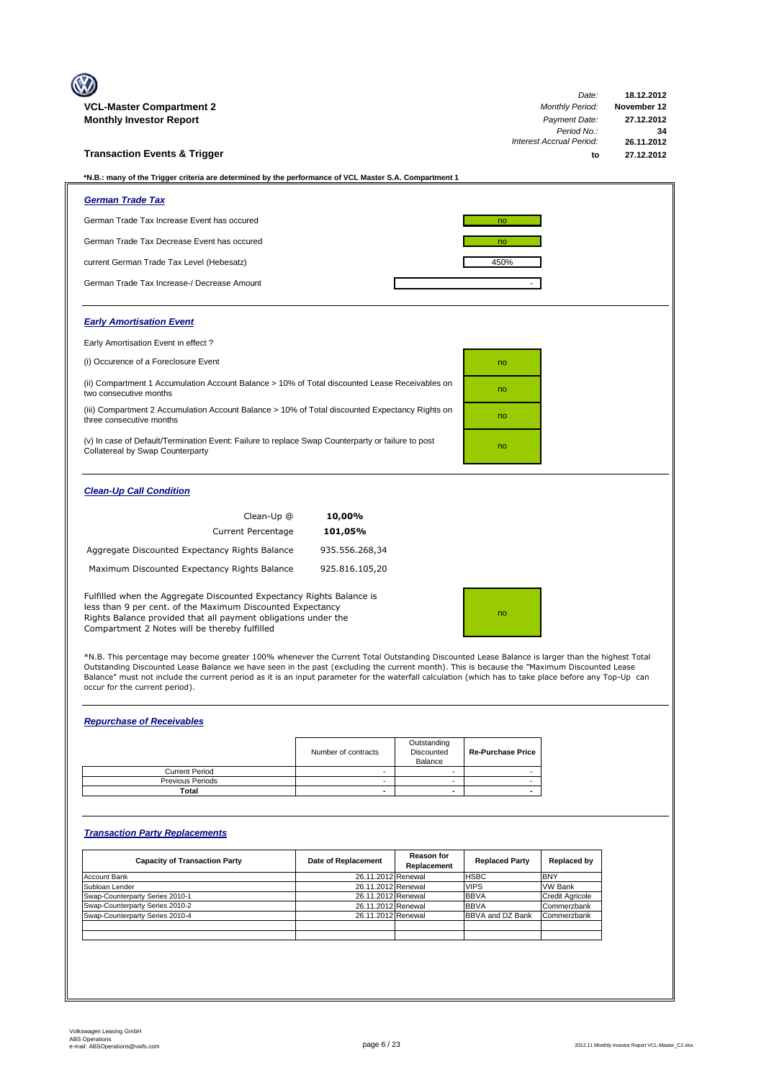| <b>VCL-Master Compartment 2</b>                                                                                                                                                                                                                       | Date:<br><b>Monthly Period:</b>       | 18.12.2012<br>November 12 |
|-------------------------------------------------------------------------------------------------------------------------------------------------------------------------------------------------------------------------------------------------------|---------------------------------------|---------------------------|
| <b>Monthly Investor Report</b>                                                                                                                                                                                                                        | Payment Date:                         | 27.12.2012                |
|                                                                                                                                                                                                                                                       | Period No.:                           | 34                        |
| <b>Transaction Events &amp; Trigger</b>                                                                                                                                                                                                               | <b>Interest Accrual Period:</b><br>to | 26.11.2012<br>27.12.2012  |
|                                                                                                                                                                                                                                                       |                                       |                           |
| *N.B.: many of the Trigger criteria are determined by the performance of VCL Master S.A. Compartment 1                                                                                                                                                |                                       |                           |
| <b>German Trade Tax</b>                                                                                                                                                                                                                               |                                       |                           |
| German Trade Tax Increase Event has occured                                                                                                                                                                                                           | no                                    |                           |
| German Trade Tax Decrease Event has occured                                                                                                                                                                                                           | no                                    |                           |
| current German Trade Tax Level (Hebesatz)                                                                                                                                                                                                             | 450%                                  |                           |
| German Trade Tax Increase-/ Decrease Amount                                                                                                                                                                                                           |                                       |                           |
| <b>Early Amortisation Event</b>                                                                                                                                                                                                                       |                                       |                           |
| Early Amortisation Event in effect?                                                                                                                                                                                                                   |                                       |                           |
| (i) Occurence of a Foreclosure Event                                                                                                                                                                                                                  | no                                    |                           |
| (ii) Compartment 1 Accumulation Account Balance > 10% of Total discounted Lease Receivables on<br>two consecutive months                                                                                                                              | no                                    |                           |
| (iii) Compartment 2 Accumulation Account Balance > 10% of Total discounted Expectancy Rights on<br>three consecutive months                                                                                                                           | no                                    |                           |
| (v) In case of Default/Termination Event: Failure to replace Swap Counterparty or failure to post<br>Collatereal by Swap Counterparty                                                                                                                 | no                                    |                           |
| <b>Clean-Up Call Condition</b>                                                                                                                                                                                                                        |                                       |                           |
| 10,00%<br>Clean-Up @                                                                                                                                                                                                                                  |                                       |                           |
| <b>Current Percentage</b><br>101,05%                                                                                                                                                                                                                  |                                       |                           |
| Aggregate Discounted Expectancy Rights Balance<br>935.556.268,34                                                                                                                                                                                      |                                       |                           |
| Maximum Discounted Expectancy Rights Balance<br>925.816.105,20                                                                                                                                                                                        |                                       |                           |
| Fulfilled when the Aggregate Discounted Expectancy Rights Balance is<br>less than 9 per cent. of the Maximum Discounted Expectancy<br>Rights Balance provided that all payment obligations under the<br>Compartment 2 Notes will be thereby fulfilled | no                                    |                           |

\*N.B. This percentage may become greater 100% whenever the Current Total Outstanding Discounted Lease Balance is larger than the highest Total<br>Outstanding Discounted Lease Balance we have seen in the past (excluding the cu occur for the current period).

## *Repurchase of Receivables*

|                         | Number of contracts | Outstanding<br>Discounted<br>Balance | <b>Re-Purchase Price</b> |
|-------------------------|---------------------|--------------------------------------|--------------------------|
| <b>Current Period</b>   |                     |                                      |                          |
| <b>Previous Periods</b> |                     |                                      |                          |
| Total                   | -                   | $\overline{\phantom{0}}$             |                          |

## *Transaction Party Replacements*

| <b>Capacity of Transaction Party</b> | Date of Replacement | <b>Reason for</b><br>Replacement | <b>Replaced Party</b> | Replaced by            |
|--------------------------------------|---------------------|----------------------------------|-----------------------|------------------------|
| Account Bank                         | 26.11.2012 Renewal  |                                  | <b>HSBC</b>           | <b>BNY</b>             |
| Subloan Lender                       | 26.11.2012 Renewal  |                                  | <b>VIPS</b>           | <b>VW Bank</b>         |
| Swap-Counterparty Series 2010-1      | 26.11.2012 Renewal  |                                  | <b>BBVA</b>           | <b>Credit Agricole</b> |
| Swap-Counterparty Series 2010-2      | 26.11.2012 Renewal  |                                  | <b>BBVA</b>           | Commerzbank            |
| Swap-Counterparty Series 2010-4      | 26.11.2012 Renewal  |                                  | BBVA and DZ Bank      | Commerzbank            |
|                                      |                     |                                  |                       |                        |
|                                      |                     |                                  |                       |                        |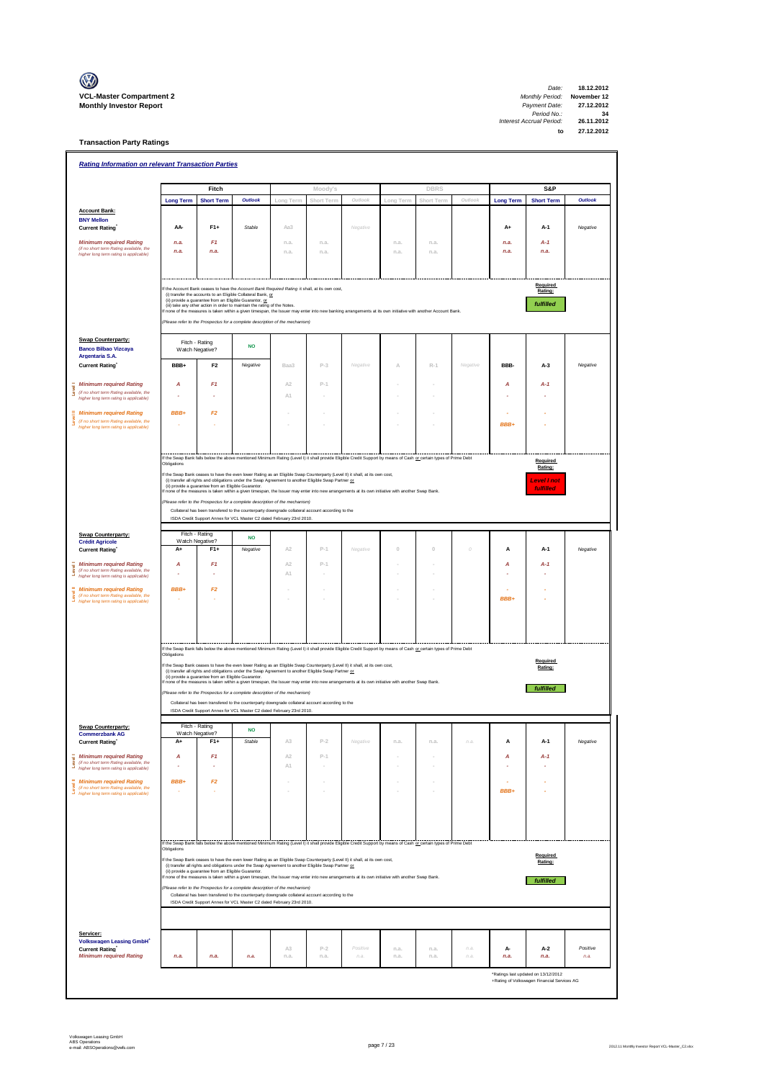

| 18.12.2012  | Date:                    |
|-------------|--------------------------|
| November 12 | <b>Monthly Period:</b>   |
| 27.12.2012  | Payment Date:            |
| 34          | Period No.:              |
| 26.11.2012  | Interest Accrual Period: |
| 27.12.2012  | to                       |
|             |                          |

**Transaction Party Ratings**

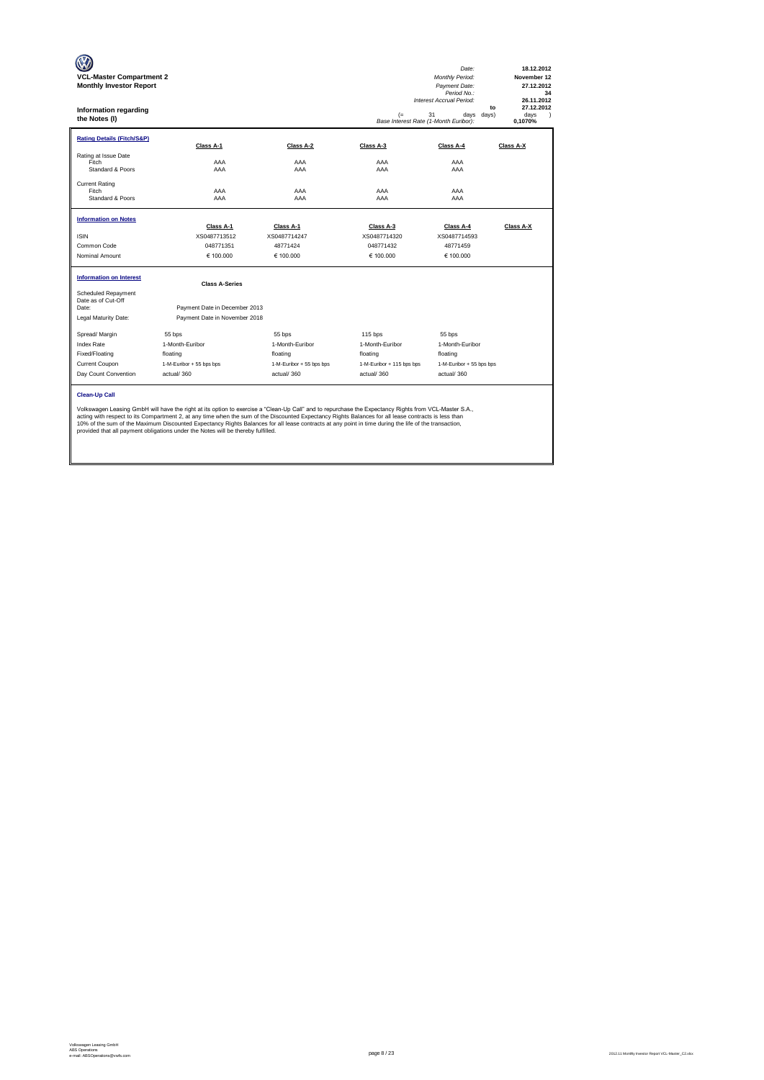| <b>VCL-Master Compartment 2</b><br><b>Monthly Investor Report</b><br>Information regarding<br>the Notes (I) |                                                                                                                                                                                                                                                                                                                                                                                                                                                                                                                                                           |                           | (=<br>Base Interest Rate (1-Month Euribor): | Date:<br>Monthly Period:<br>Payment Date:<br>Period No.:<br>Interest Accrual Period:<br>31<br>days<br>days) | 18.12.2012<br>November 12<br>27.12.2012<br>34<br>26.11.2012<br>27.12.2012<br>to<br>davs<br>$\lambda$<br>0.1070% |
|-------------------------------------------------------------------------------------------------------------|-----------------------------------------------------------------------------------------------------------------------------------------------------------------------------------------------------------------------------------------------------------------------------------------------------------------------------------------------------------------------------------------------------------------------------------------------------------------------------------------------------------------------------------------------------------|---------------------------|---------------------------------------------|-------------------------------------------------------------------------------------------------------------|-----------------------------------------------------------------------------------------------------------------|
| <b>Rating Details (Fitch/S&amp;P)</b>                                                                       | Class A-1                                                                                                                                                                                                                                                                                                                                                                                                                                                                                                                                                 | Class A-2                 | Class A-3                                   | Class A-4                                                                                                   | Class A-X                                                                                                       |
| Rating at Issue Date<br>Fitch<br>Standard & Poors                                                           | AAA<br>AAA                                                                                                                                                                                                                                                                                                                                                                                                                                                                                                                                                | AAA<br>AAA                | AAA<br>AAA                                  | AAA<br>AAA                                                                                                  |                                                                                                                 |
| <b>Current Rating</b><br>Fitch<br>Standard & Poors                                                          | AAA<br>AAA                                                                                                                                                                                                                                                                                                                                                                                                                                                                                                                                                | AAA<br>AAA                | AAA<br>AAA                                  | AAA<br>AAA                                                                                                  |                                                                                                                 |
| <b>Information on Notes</b>                                                                                 |                                                                                                                                                                                                                                                                                                                                                                                                                                                                                                                                                           |                           |                                             |                                                                                                             |                                                                                                                 |
| <b>ISIN</b>                                                                                                 | Class A-1<br>XS0487713512                                                                                                                                                                                                                                                                                                                                                                                                                                                                                                                                 | Class A-1<br>XS0487714247 | Class A-3<br>XS0487714320                   | Class A-4<br>XS0487714593                                                                                   | Class A-X                                                                                                       |
| Common Code                                                                                                 | 048771351                                                                                                                                                                                                                                                                                                                                                                                                                                                                                                                                                 | 48771424                  | 048771432                                   | 48771459                                                                                                    |                                                                                                                 |
| Nominal Amount                                                                                              | € 100,000                                                                                                                                                                                                                                                                                                                                                                                                                                                                                                                                                 | € 100,000                 | € 100.000                                   | € 100.000                                                                                                   |                                                                                                                 |
| <b>Information on Interest</b>                                                                              | <b>Class A-Series</b>                                                                                                                                                                                                                                                                                                                                                                                                                                                                                                                                     |                           |                                             |                                                                                                             |                                                                                                                 |
| Scheduled Repayment<br>Date as of Cut-Off<br>Date:<br>Legal Maturity Date:                                  | Payment Date in December 2013<br>Payment Date in November 2018                                                                                                                                                                                                                                                                                                                                                                                                                                                                                            |                           |                                             |                                                                                                             |                                                                                                                 |
| Spread/ Margin                                                                                              | 55 bps                                                                                                                                                                                                                                                                                                                                                                                                                                                                                                                                                    | 55 bps                    | $115$ bps                                   | 55 bps                                                                                                      |                                                                                                                 |
| <b>Index Rate</b>                                                                                           | 1-Month-Euribor                                                                                                                                                                                                                                                                                                                                                                                                                                                                                                                                           | 1-Month-Euribor           | 1-Month-Euribor                             | 1-Month-Euribor                                                                                             |                                                                                                                 |
| Fixed/Floating                                                                                              | floating                                                                                                                                                                                                                                                                                                                                                                                                                                                                                                                                                  | floating                  | floating                                    | floating                                                                                                    |                                                                                                                 |
| Current Coupon                                                                                              | 1-M-Euribor + 55 bps bps                                                                                                                                                                                                                                                                                                                                                                                                                                                                                                                                  | 1-M-Euribor + 55 bps bps  | 1-M-Euribor + 115 bps bps                   | 1-M-Euribor + 55 bps bps                                                                                    |                                                                                                                 |
| Day Count Convention                                                                                        | actual/360                                                                                                                                                                                                                                                                                                                                                                                                                                                                                                                                                | actual/360                | actual/360                                  | actual/360                                                                                                  |                                                                                                                 |
| <b>Clean-Up Call</b>                                                                                        | Volkswagen Leasing GmbH will have the right at its option to exercise a "Clean-Up Call" and to repurchase the Expectancy Rights from VCL-Master S.A.,<br>acting with respect to its Compartment 2, at any time when the sum of the Discounted Expectancy Rights Balances for all lease contracts is less than<br>10% of the sum of the Maximum Discounted Expectancy Rights Balances for all lease contracts at any point in time during the life of the transaction,<br>provided that all payment obligations under the Notes will be thereby fulfilled. |                           |                                             |                                                                                                             |                                                                                                                 |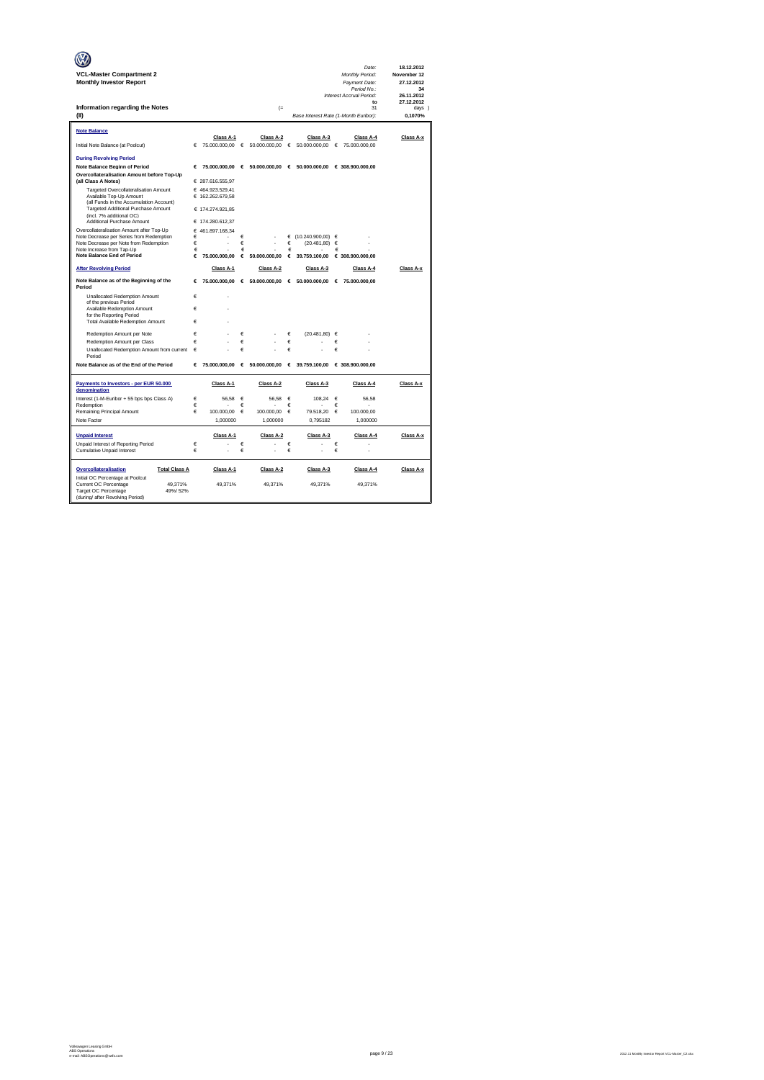|                                                                                    |        |                                      |        |                                 |            |                                        |        | Date:                            | 18.12.2012                |
|------------------------------------------------------------------------------------|--------|--------------------------------------|--------|---------------------------------|------------|----------------------------------------|--------|----------------------------------|---------------------------|
| <b>VCL-Master Compartment 2</b><br><b>Monthly Investor Report</b>                  |        |                                      |        |                                 |            |                                        |        | Monthly Period:<br>Payment Date: | November 12<br>27.12.2012 |
|                                                                                    |        |                                      |        |                                 |            |                                        |        | Period No.:                      | 34                        |
|                                                                                    |        |                                      |        |                                 |            |                                        |        | Interest Accrual Period:<br>to   | 26.11.2012<br>27.12.2012  |
| Information regarding the Notes                                                    |        |                                      |        | $(=$                            |            |                                        |        | 31                               | davs 1                    |
| (II)                                                                               |        |                                      |        |                                 |            | Base Interest Rate (1-Month Euribor):  |        |                                  | 0.1070%                   |
| Note Balance                                                                       |        |                                      |        |                                 |            |                                        |        |                                  |                           |
|                                                                                    |        | Class A-1                            |        | Class A-2                       |            | Class A-3                              |        | Class A-4                        | Class A-x                 |
| Initial Note Balance (at Poolcut)                                                  | €      | 75.000.000.00 €                      |        | $50.000.000.00$ $\in$           |            | 50.000.000.00 €                        |        | 75,000,000,00                    |                           |
| <b>During Revolving Period</b>                                                     |        |                                      |        |                                 |            |                                        |        |                                  |                           |
| Note Balance Beginn of Period                                                      | €      |                                      |        | 75.000.000,00 € 50.000.000,00 € |            |                                        |        | 50.000.000,00 € 308.900.000,00   |                           |
| Overcollateralisation Amount before Top-Up                                         |        |                                      |        |                                 |            |                                        |        |                                  |                           |
| (all Class A Notes)<br>Targeted Overcollateralisation Amount                       |        | € 287.616.555,97<br>€ 464.923.529,41 |        |                                 |            |                                        |        |                                  |                           |
| Available Top-Up Amount                                                            |        | € 162.262.679,58                     |        |                                 |            |                                        |        |                                  |                           |
| (all Funds in the Accumulation Account)<br>Targeted Additional Purchase Amount     |        |                                      |        |                                 |            |                                        |        |                                  |                           |
| (incl. 7% additional OC)                                                           |        | € 174.274.921.85                     |        |                                 |            |                                        |        |                                  |                           |
| Additional Purchase Amount                                                         |        | € 174.280.612.37                     |        |                                 |            |                                        |        |                                  |                           |
| Overcollateralisation Amount after Top-Up                                          |        | € 461.897.168.34                     |        |                                 |            |                                        |        |                                  |                           |
| Note Decrease per Series from Redemption<br>Note Decrease per Note from Redemption | €<br>€ |                                      | €<br>€ |                                 | €<br>€     | $(10.240.900.00)$ $\in$<br>(20.481.80) | €      |                                  |                           |
| Note Increase from Tap-Up                                                          | €      |                                      | €      |                                 | €          |                                        | €      |                                  |                           |
| <b>Note Balance End of Period</b>                                                  | €      | 75,000,000,00                        | €      | 50,000,000.00                   | €          | 39.759.100,00                          |        | € 308.900.000,00                 |                           |
| <b>After Revolving Period</b>                                                      |        | Class A-1                            |        | Class A-2                       |            | Class A-3                              |        | Class A-4                        | Class A-x                 |
| Note Balance as of the Beginning of the<br>Period                                  | €      | 75.000.000,00                        |        | € 50.000.000,00 € 50.000.000,00 |            |                                        | €      | 75.000.000,00                    |                           |
| <b>Unallocated Redemption Amount</b>                                               | €      |                                      |        |                                 |            |                                        |        |                                  |                           |
| of the previous Period                                                             |        |                                      |        |                                 |            |                                        |        |                                  |                           |
| Available Redemption Amount<br>for the Reporting Period                            | €      |                                      |        |                                 |            |                                        |        |                                  |                           |
| Total Available Redemption Amount                                                  | €      |                                      |        |                                 |            |                                        |        |                                  |                           |
| Redemotion Amount per Note                                                         | €      |                                      | €      |                                 | €          | (20.481.80)                            | €      |                                  |                           |
| Redemption Amount per Class                                                        | €      |                                      | €      |                                 | €          |                                        | €      |                                  |                           |
| Unallocated Redemption Amount from current                                         | €      |                                      | €      |                                 | €          |                                        | €      |                                  |                           |
| Period                                                                             |        |                                      |        |                                 |            |                                        |        |                                  |                           |
| Note Balance as of the End of the Period                                           | €      | 75.000.000,00                        |        | € 50.000.000,00 € 39.759.100,00 |            |                                        |        | € 308.900.000,00                 |                           |
| Payments to Investors - per EUR 50.000<br>denomination                             |        | Class A-1                            |        | Class A-2                       |            | Class A-3                              |        | Class A-4                        | Class A-x                 |
| Interest (1-M-Euribor + 55 bps bps Class A)                                        | €      | 56.58                                | €      | 56.58                           | $\epsilon$ | 108.24                                 | €      | 56,58                            |                           |
| Redemption<br>Remaining Principal Amount                                           | €<br>€ | 100,000.00                           | €<br>€ | 100,000.00                      | €<br>€     | 79.518.20                              | €<br>€ | 100,000.00                       |                           |
| Note Factor                                                                        |        | 1,000000                             |        | 1,000000                        |            | 0,795182                               |        | 1,000000                         |                           |
|                                                                                    |        |                                      |        |                                 |            |                                        |        |                                  |                           |
| <b>Unpaid Interest</b>                                                             |        | Class A-1                            |        | Class A-2                       |            | Class A-3                              |        | Class A-4                        | Class A-x                 |
| Unpaid Interest of Reporting Period                                                | €      |                                      | €      |                                 | $\epsilon$ |                                        | €      |                                  |                           |
| <b>Cumulative Unpaid Interest</b>                                                  | €      | ä,                                   | €      |                                 | €          |                                        | €      | ä,                               |                           |
| Overcollateralisation<br><b>Total Class A</b>                                      |        | Class A-1                            |        | Class A-2                       |            | Class A-3                              |        | Class A-4                        | Class A-x                 |
| Initial OC Percentage at Poolcut                                                   |        |                                      |        |                                 |            |                                        |        |                                  |                           |
| Current OC Percentage<br>49.371%<br>Target OC Percentage<br>49%/52%                |        | 49.371%                              |        | 49.371%                         |            | 49.371%                                |        | 49,371%                          |                           |
| (during/ after Revolving Period)                                                   |        |                                      |        |                                 |            |                                        |        |                                  |                           |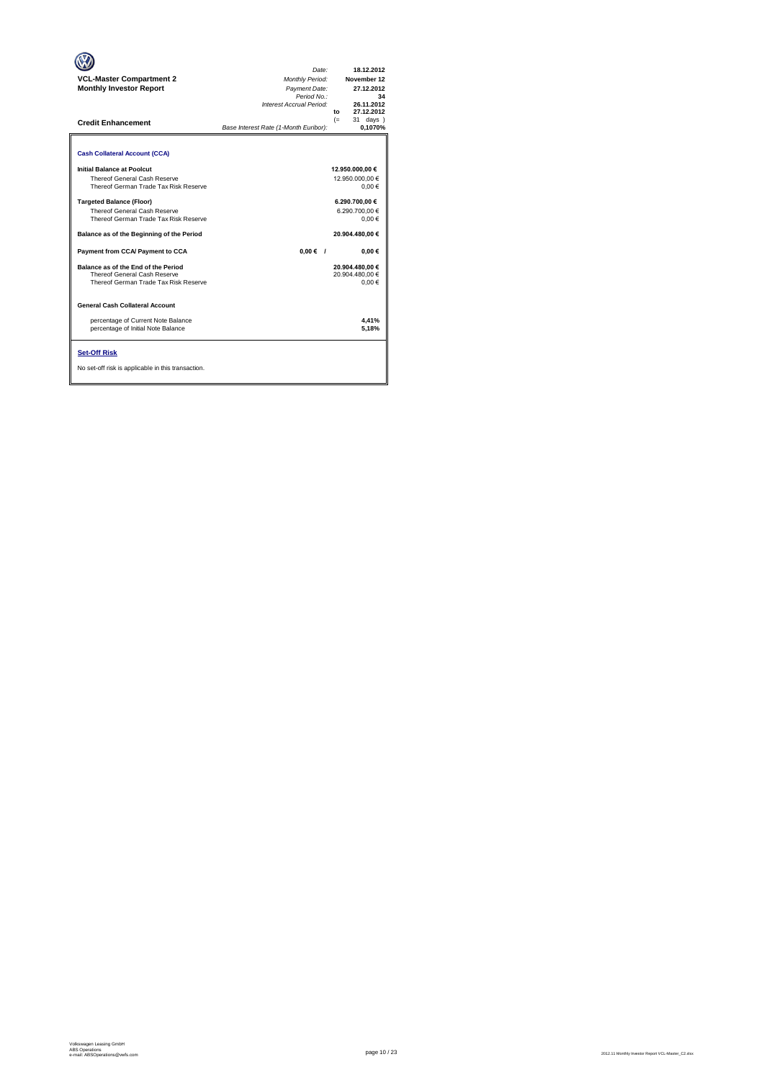| <b>VCL-Master Compartment 2</b><br><b>Monthly Investor Report</b><br><b>Credit Enhancement</b>               | Date:<br>Monthly Period:<br>Payment Date:<br>Period No.:<br>Interest Accrual Period:<br>Base Interest Rate (1-Month Euribor): | 18.12.2012<br>November 12<br>27.12.2012<br>34<br>26.11.2012<br>27.12.2012<br>to<br>$(=$<br>31 days<br>0.1070% |
|--------------------------------------------------------------------------------------------------------------|-------------------------------------------------------------------------------------------------------------------------------|---------------------------------------------------------------------------------------------------------------|
| <b>Cash Collateral Account (CCA)</b>                                                                         |                                                                                                                               |                                                                                                               |
| Initial Balance at Poolcut<br>Thereof General Cash Reserve<br>Thereof German Trade Tax Risk Reserve          |                                                                                                                               | 12.950.000,00 €<br>12.950.000.00 €<br>0.00€                                                                   |
| <b>Targeted Balance (Floor)</b><br>Thereof General Cash Reserve<br>Thereof German Trade Tax Risk Reserve     |                                                                                                                               | 6.290.700.00 €<br>6.290.700.00 €<br>$0.00 \in$                                                                |
| Balance as of the Beginning of the Period                                                                    |                                                                                                                               | 20.904.480.00 €                                                                                               |
| Payment from CCA/ Payment to CCA                                                                             | $0.00 \in$ /                                                                                                                  | $0.00 \in$                                                                                                    |
| Balance as of the End of the Period<br>Thereof General Cash Reserve<br>Thereof German Trade Tax Risk Reserve |                                                                                                                               | 20.904.480.00 €<br>20.904.480.00 €<br>0.00€                                                                   |
| <b>General Cash Collateral Account</b>                                                                       |                                                                                                                               |                                                                                                               |
| percentage of Current Note Balance<br>percentage of Initial Note Balance                                     |                                                                                                                               | 4.41%<br>5,18%                                                                                                |
| <b>Set-Off Risk</b><br>No set-off risk is applicable in this transaction.                                    |                                                                                                                               |                                                                                                               |

**. . . .** Trigger Level 1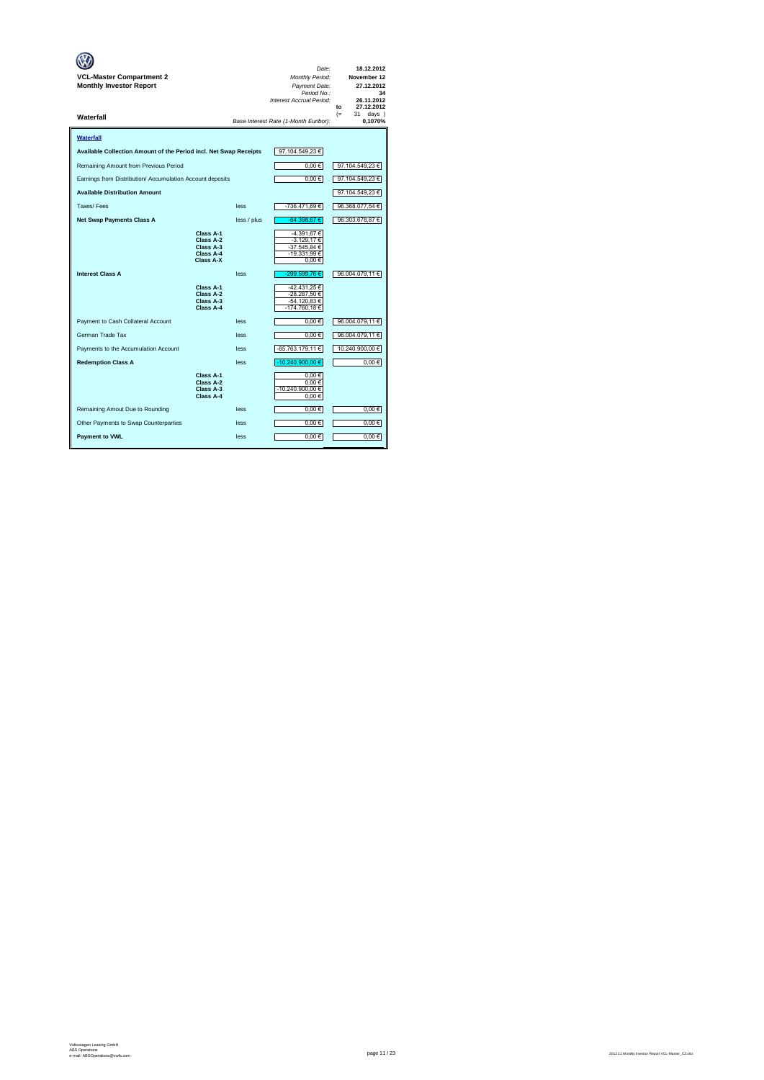| VCL-Master Compartment 2<br><b>Monthly Investor Report</b>        |                                                               |             | Date:<br>Monthly Period:<br>Payment Date:<br>Period No.:<br>Interest Accrual Period: | 18.12.2012<br>November 12<br>27.12.2012<br>34<br>26.11.2012<br>27.12.2012<br>to |
|-------------------------------------------------------------------|---------------------------------------------------------------|-------------|--------------------------------------------------------------------------------------|---------------------------------------------------------------------------------|
| Waterfall                                                         |                                                               |             | Base Interest Rate (1-Month Euribor):                                                | $(=$<br>31<br>days )<br>0,1070%                                                 |
| Waterfall                                                         |                                                               |             |                                                                                      |                                                                                 |
| Available Collection Amount of the Period incl. Net Swap Receipts |                                                               |             | 97.104.549,23€                                                                       |                                                                                 |
| Remaining Amount from Previous Period                             |                                                               |             | $0.00 \in$                                                                           | 97.104.549,23 €                                                                 |
| Earnings from Distribution/ Accumulation Account deposits         |                                                               |             | $0,00 \in$                                                                           | 97.104.549,23 €                                                                 |
| <b>Available Distribution Amount</b>                              |                                                               |             |                                                                                      | 97.104.549,23 €                                                                 |
| Taxes/Fees                                                        |                                                               | less        | -736.471,69€                                                                         | 96.368.077,54 €                                                                 |
| <b>Net Swap Payments Class A</b>                                  |                                                               | less / plus | $-64.398.67 \in$                                                                     | 96.303.678,87 €                                                                 |
|                                                                   | Class A-1<br>Class A-2<br>Class A-3<br>Class A-4<br>Class A-X |             | -4.391,67 €<br>$-3.129,17$ €<br>-37.545.84 €<br>-19.331,99€<br>0.00€                 |                                                                                 |
| <b>Interest Class A</b>                                           |                                                               | less        | -299.599,76€                                                                         | 96.004.079,11 €                                                                 |
|                                                                   | Class A-1<br>Class A-2<br>Class A-3<br>Class A-4              |             | -42.431,25 €<br>-28.287.50 €<br>-54.120,83 €<br>-174.760,18€                         |                                                                                 |
| Payment to Cash Collateral Account                                |                                                               | less        | $0,00 \in$                                                                           | 96.004.079,11 €                                                                 |
| German Trade Tax                                                  |                                                               | less        | $0,00 \in$                                                                           | 96.004.079,11 €                                                                 |
| Payments to the Accumulation Account                              |                                                               | less        | -85.763.179,11 €                                                                     | 10.240.900,00 €                                                                 |
| <b>Redemption Class A</b>                                         |                                                               | less        | -10.240.900,00 €                                                                     | $0,00 \in$                                                                      |
|                                                                   | Class A-1<br>Class A-2<br>Class A-3<br>Class A-4              |             | 0.00€<br>0.00€<br>-10.240.900.00 €<br>0,00€                                          |                                                                                 |
| Remaining Amout Due to Rounding                                   |                                                               | less        | $0,00 \in$                                                                           | 0,00€                                                                           |
| Other Payments to Swap Counterparties                             |                                                               | less        | $0,00 \in$                                                                           | $0,00$ €                                                                        |
| <b>Payment to VWL</b>                                             |                                                               | less        | $0,00 \in$                                                                           | $0,00$ €                                                                        |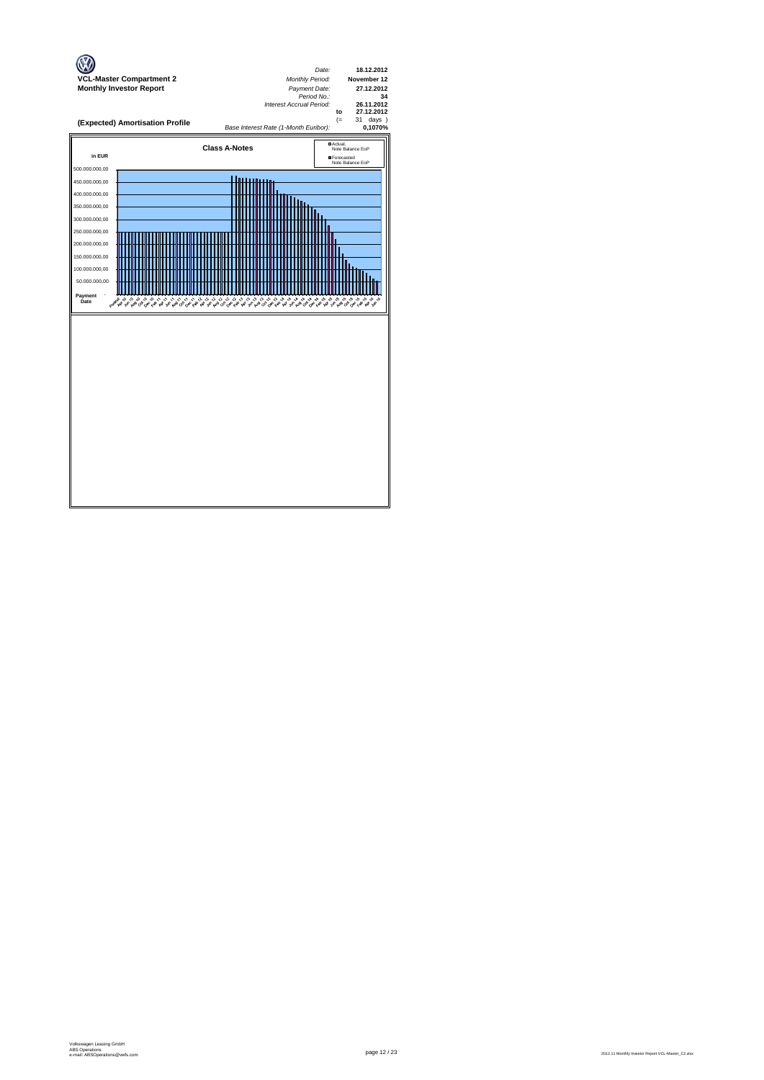

page 12 / 23 2012.11 Monthly Investor Report VCL-Master\_C2.xlsx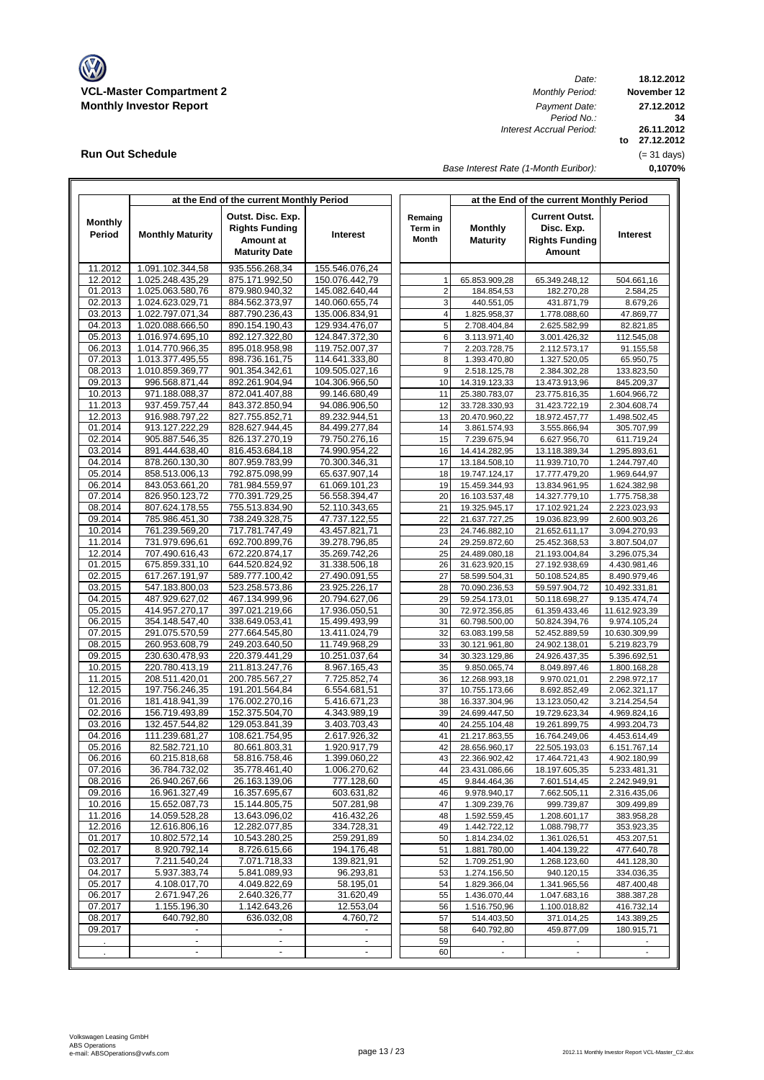

**Run Out Schedule**

I

*Date:*<br>*Monthly Period: Period No.: Interest Accrual Period:*

**18.12.2012 November 12 to 27.12.2012 0,1070% 34 27.12.2012 26.11.2012** (= 31 days)

*Base Interest Rate (1-Month Euribor):*

|                |                          | at the End of the current Monthly Period |                 |                | at the End of the current Monthly Period |                       |                |  |  |
|----------------|--------------------------|------------------------------------------|-----------------|----------------|------------------------------------------|-----------------------|----------------|--|--|
|                |                          | Outst. Disc. Exp.                        |                 | Remaing        |                                          | <b>Current Outst.</b> |                |  |  |
| <b>Monthly</b> |                          | <b>Rights Funding</b>                    |                 | Term in        | <b>Monthly</b>                           | Disc. Exp.            |                |  |  |
| Period         | <b>Monthly Maturity</b>  |                                          | <b>Interest</b> |                |                                          |                       | Interest       |  |  |
|                |                          | Amount at                                |                 | Month          | <b>Maturity</b>                          | <b>Rights Funding</b> |                |  |  |
|                |                          | <b>Maturity Date</b>                     |                 |                |                                          | Amount                |                |  |  |
| 11.2012        | 1.091.102.344,58         | 935.556.268,34                           | 155.546.076.24  |                |                                          |                       |                |  |  |
| 12.2012        | 1.025.248.435,29         | 875.171.992,50                           | 150.076.442,79  | 1              | 65.853.909,28                            | 65.349.248,12         | 504.661,16     |  |  |
| 01.2013        | 1.025.063.580,76         | 879.980.940,32                           | 145.082.640,44  | $\overline{2}$ | 184.854,53                               | 182.270,28            | 2.584,25       |  |  |
| 02.2013        | 1.024.623.029,71         | 884.562.373,97                           | 140.060.655,74  | 3              | 440.551,05                               | 431.871,79            |                |  |  |
| 03.2013        | 1.022.797.071,34         | 887.790.236,43                           | 135.006.834,91  | 4              |                                          |                       | 8.679,26       |  |  |
| 04.2013        |                          |                                          |                 |                | 1.825.958,37                             | 1.778.088,60          | 47.869,77      |  |  |
|                | 1.020.088.666,50         | 890.154.190,43                           | 129.934.476,07  | 5              | 2.708.404,84                             | 2.625.582,99          | 82.821,85      |  |  |
| 05.2013        | 1.016.974.695.10         | 892.127.322,80                           | 124.847.372,30  | 6              | 3.113.971,40                             | 3.001.426,32          | 112.545,08     |  |  |
| 06.2013        | 1.014.770.966.35         | 895.018.958,98                           | 119.752.007,37  | $\overline{7}$ | 2.203.728,75                             | 2.112.573,17          | 91.155,58      |  |  |
| 07.2013        | 1.013.377.495,55         | 898.736.161,75                           | 114.641.333,80  | 8              | 1.393.470,80                             | 1.327.520,05          | 65.950,75      |  |  |
| 08.2013        | 1.010.859.369,77         | 901.354.342,61                           | 109.505.027,16  | 9              | 2.518.125,78                             | 2.384.302,28          | 133.823,50     |  |  |
| 09.2013        | 996.568.871,44           | 892.261.904,94                           | 104.306.966,50  | 10             | 14.319.123,33                            | 13.473.913,96         | 845.209,37     |  |  |
| 10.2013        | 971.188.088,37           | 872.041.407,88                           | 99.146.680,49   | 11             | 25.380.783,07                            | 23.775.816,35         | 1.604.966,72   |  |  |
| 11.2013        | 937.459.757,44           | 843.372.850,94                           | 94.086.906,50   | 12             | 33.728.330,93                            | 31.423.722,19         | 2.304.608,74   |  |  |
| 12.2013        | 916.988.797,22           | 827.755.852,71                           | 89.232.944,51   | 13             | 20.470.960,22                            | 18.972.457,77         | 1.498.502,45   |  |  |
| 01.2014        | 913.127.222,29           | 828.627.944,45                           | 84.499.277,84   | 14             | 3.861.574,93                             | 3.555.866,94          | 305.707,99     |  |  |
| 02.2014        | 905.887.546,35           | 826.137.270,19                           | 79.750.276,16   | 15             | 7.239.675,94                             | 6.627.956,70          | 611.719,24     |  |  |
| 03.2014        | 891.444.638,40           | 816.453.684,18                           | 74.990.954,22   | 16             | 14.414.282,95                            | 13.118.389,34         | 1.295.893,61   |  |  |
| 04.2014        | 878.260.130,30           | 807.959.783,99                           | 70.300.346,31   | 17             | 13.184.508,10                            | 11.939.710,70         | 1.244.797,40   |  |  |
| 05.2014        | 858.513.006,13           | 792.875.098,99                           | 65.637.907,14   | 18             | 19.747.124,17                            | 17.777.479,20         | 1.969.644,97   |  |  |
| 06.2014        | 843.053.661,20           | 781.984.559,97                           | 61.069.101,23   | 19             | 15.459.344,93                            | 13.834.961,95         | 1.624.382,98   |  |  |
| 07.2014        | 826.950.123,72           | 770.391.729,25                           | 56.558.394,47   | 20             | 16.103.537,48                            | 14.327.779,10         | 1.775.758,38   |  |  |
| 08.2014        | 807.624.178,55           | 755.513.834,90                           | 52.110.343,65   | 21             | 19.325.945,17                            | 17.102.921,24         | 2.223.023,93   |  |  |
|                |                          |                                          |                 |                |                                          |                       |                |  |  |
| 09.2014        | 785.986.451,30           | 738.249.328,75                           | 47.737.122,55   | 22             | 21.637.727,25                            | 19.036.823,99         | 2.600.903,26   |  |  |
| 10.2014        | 761.239.569,20           | 717.781.747,49                           | 43.457.821,71   | 23             | 24.746.882,10                            | 21.652.611,17         | 3.094.270,93   |  |  |
| 11.2014        | 731.979.696,61           | 692.700.899,76                           | 39.278.796,85   | 24             | 29.259.872,60                            | 25.452.368,53         | 3.807.504,07   |  |  |
| 12.2014        | 707.490.616,43           | 672.220.874,17                           | 35.269.742,26   | 25             | 24.489.080,18                            | 21.193.004,84         | 3.296.075,34   |  |  |
| 01.2015        | 675.859.331,10           | 644.520.824,92                           | 31.338.506,18   | 26             | 31.623.920,15                            | 27.192.938,69         | 4.430.981,46   |  |  |
| 02.2015        | 617.267.191,97           | 589.777.100,42                           | 27.490.091,55   | 27             | 58.599.504,31                            | 50.108.524,85         | 8.490.979,46   |  |  |
| 03.2015        | 547.183.800,03           | 523.258.573,86                           | 23.925.226,17   | 28             | 70.090.236,53                            | 59.597.904,72         | 10.492.331,81  |  |  |
| 04.2015        | 487.929.627,02           | 467.134.999,96                           | 20.794.627,06   | 29             | 59.254.173,01                            | 50.118.698,27         | 9.135.474,74   |  |  |
| 05.2015        | 414.957.270,17           | 397.021.219,66                           | 17.936.050,51   | 30             | 72.972.356,85                            | 61.359.433,46         | 11.612.923,39  |  |  |
| 06.2015        | 354.148.547,40           | 338.649.053,41                           | 15.499.493,99   | 31             | 60.798.500,00                            | 50.824.394,76         | 9.974.105,24   |  |  |
| 07.2015        | 291.075.570,59           | 277.664.545,80                           | 13.411.024,79   | 32             | 63.083.199,58                            | 52.452.889,59         | 10.630.309,99  |  |  |
| 08.2015        | 260.953.608,79           | 249.203.640,50                           | 11.749.968,29   | 33             | 30.121.961,80                            | 24.902.138,01         | 5.219.823,79   |  |  |
| 09.2015        | 230.630.478,93           | 220.379.441,29                           | 10.251.037,64   | 34             | 30.323.129,86                            | 24.926.437,35         | 5.396.692,51   |  |  |
| 10.2015        | 220.780.413,19           | 211.813.247,76                           | 8.967.165,43    | 35             | 9.850.065,74                             | 8.049.897,46          | 1.800.168,28   |  |  |
| 11.2015        | 208.511.420,01           | 200.785.567,27                           | 7.725.852,74    | 36             | 12.268.993,18                            | 9.970.021,01          | 2.298.972,17   |  |  |
| 12.2015        | 197.756.246,35           | 191.201.564,84                           | 6.554.681,51    | 37             | 10.755.173,66                            | 8.692.852,49          | 2.062.321,17   |  |  |
| 01.2016        | 181.418.941,39           | 176.002.270,16                           | 5.416.671,23    | 38             | 16.337.304,96                            | 13.123.050,42         | 3.214.254,54   |  |  |
| 02.2016        | 156.719.493,89           | 152.375.504,70                           | 4.343.989,19    | 39             | 24.699.447,50                            | 19.729.623,34         | 4.969.824,16   |  |  |
| 03.2016        | 132.457.544,82           | 129.053.841,39                           | 3.403.703,43    | 40             | 24.255.104,48                            | 19.261.899,75         | 4.993.204,73   |  |  |
| 04.2016        | 111.239.681,27           | 108.621.754,95                           | 2.617.926,32    | 41             | 21.217.863,55                            | 16.764.249,06         | 4.453.614,49   |  |  |
| 05.2016        | 82.582.721,10            | 80.661.803,31                            | 1.920.917,79    | 42             | 28.656.960,17                            | 22.505.193,03         | 6.151.767,14   |  |  |
| 06.2016        | 60.215.818,68            | 58.816.758,46                            | 1.399.060,22    | 43             | 22.366.902,42                            | 17.464.721,43         | 4.902.180,99   |  |  |
| 07.2016        | 36.784.732,02            | 35.778.461,40                            | 1.006.270,62    | 44             |                                          |                       |                |  |  |
|                |                          |                                          |                 |                | 23.431.086,66                            | 18.197.605,35         | 5.233.481,31   |  |  |
| 08.2016        | 26.940.267,66            | 26.163.139,06                            | 777.128,60      | 45             | 9.844.464,36                             | 7.601.514,45          | 2.242.949,91   |  |  |
| 09.2016        | 16.961.327,49            | 16.357.695,67                            | 603.631,82      | 46             | 9.978.940,17                             | 7.662.505,11          | 2.316.435,06   |  |  |
| 10.2016        | 15.652.087,73            | 15.144.805,75                            | 507.281,98      | 47             | 1.309.239,76                             | 999.739,87            | 309.499,89     |  |  |
| 11.2016        | 14.059.528,28            | 13.643.096,02                            | 416.432,26      | 48             | 1.592.559,45                             | 1.208.601,17          | 383.958,28     |  |  |
| 12.2016        | 12.616.806,16            | 12.282.077,85                            | 334.728,31      | 49             | 1.442.722,12                             | 1.088.798,77          | 353.923,35     |  |  |
| 01.2017        | 10.802.572,14            | 10.543.280,25                            | 259.291,89      | 50             | 1.814.234,02                             | 1.361.026,51          | 453.207,51     |  |  |
| 02.2017        | 8.920.792,14             | 8.726.615,66                             | 194.176,48      | 51             | 1.881.780,00                             | 1.404.139,22          | 477.640,78     |  |  |
| 03.2017        | 7.211.540,24             | 7.071.718,33                             | 139.821,91      | 52             | 1.709.251,90                             | 1.268.123,60          | 441.128,30     |  |  |
| 04.2017        | 5.937.383,74             | 5.841.089,93                             | 96.293,81       | 53             | 1.274.156,50                             | 940.120,15            | 334.036,35     |  |  |
| 05.2017        | 4.108.017,70             | 4.049.822,69                             | 58.195,01       | 54             | 1.829.366,04                             | 1.341.965,56          | 487.400,48     |  |  |
| 06.2017        | 2.671.947,26             | 2.640.326,77                             | 31.620,49       | 55             | 1.436.070,44                             | 1.047.683,16          | 388.387,28     |  |  |
| 07.2017        | 1.155.196,30             | 1.142.643,26                             | 12.553,04       | 56             | 1.516.750,96                             | 1.100.018,82          | 416.732,14     |  |  |
| 08.2017        | 640.792,80               | 636.032,08                               | 4.760,72        | 57             | 514.403,50                               | 371.014,25            | 143.389,25     |  |  |
| 09.2017        |                          |                                          |                 | 58             | 640.792,80                               | 459.877,09            | 180.915,71     |  |  |
|                |                          |                                          |                 | 59             |                                          |                       |                |  |  |
|                | $\overline{\phantom{a}}$ | $\overline{\phantom{a}}$                 |                 | 60             | $\blacksquare$                           | $\blacksquare$        | $\blacksquare$ |  |  |
|                |                          |                                          |                 |                |                                          |                       |                |  |  |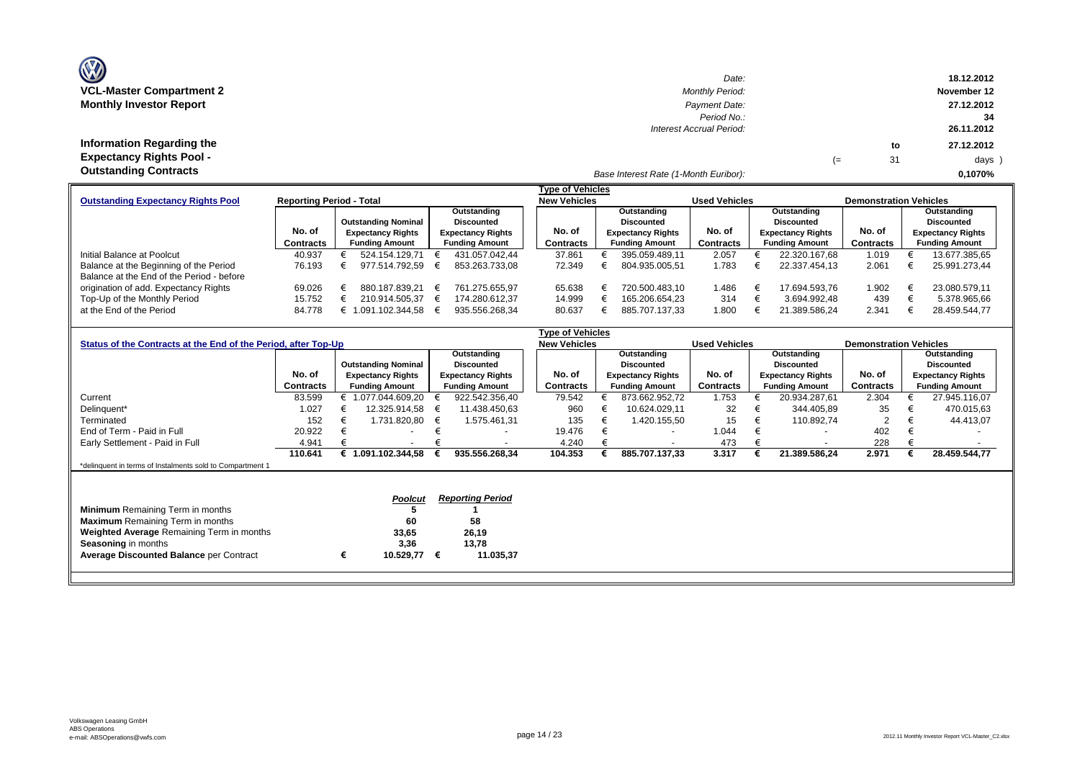| <b>OZ</b>                       |  |
|---------------------------------|--|
| <b>VCL-Master Compartment 2</b> |  |
| <b>Monthly Investor Report</b>  |  |

| $\mathbf{w}$                    | Date:                                 |    |    | 18.12.2012  |
|---------------------------------|---------------------------------------|----|----|-------------|
| VCL-Master Compartment 2        | <b>Monthly Period:</b>                |    |    | November 12 |
| <b>Monthly Investor Report</b>  | Payment Date:                         |    |    | 27.12.2012  |
|                                 | Period No.:                           |    |    | 34          |
|                                 | Interest Accrual Period:              |    |    | 26.11.2012  |
| Information Regarding the       |                                       |    | to | 27.12.2012  |
| <b>Expectancy Rights Pool -</b> |                                       | (≕ | 31 | days )      |
| <b>Outstanding Contracts</b>    | Base Interest Rate (1-Month Euribor): |    |    | 0.1070%     |

|                                                                              |                  | <b>Type of Vehicles</b> |                            |  |                          |           |        |                       |                          |                       |                          |                               |                          |
|------------------------------------------------------------------------------|------------------|-------------------------|----------------------------|--|--------------------------|-----------|--------|-----------------------|--------------------------|-----------------------|--------------------------|-------------------------------|--------------------------|
| <b>Reporting Period - Total</b><br><b>Outstanding Expectancy Rights Pool</b> |                  |                         |                            |  |                          |           |        | <b>New Vehicles</b>   |                          | <b>Used Vehicles</b>  |                          | <b>Demonstration Vehicles</b> |                          |
|                                                                              |                  |                         |                            |  | Outstanding              |           |        | Outstanding           |                          |                       | Outstanding              |                               | Outstanding              |
|                                                                              |                  |                         | <b>Outstanding Nominal</b> |  | <b>Discounted</b>        |           |        | Discounted            |                          |                       | Discounted               |                               | <b>Discounted</b>        |
|                                                                              | No. of           |                         | <b>Expectancy Rights</b>   |  | <b>Expectancy Rights</b> |           | No. of |                       | <b>Expectancy Rights</b> | No. of                | <b>Expectancy Rights</b> | No. of                        | <b>Expectancy Rights</b> |
|                                                                              | <b>Contracts</b> |                         | <b>Funding Amount</b>      |  | <b>Funding Amount</b>    | Contracts |        | <b>Funding Amount</b> | Contracts                | <b>Funding Amount</b> | Contracts                | <b>Funding Amount</b>         |                          |
| Initial Balance at Poolcut                                                   | 40.937           |                         | 524.154.129.71             |  | 431.057.042.44           |           | 37.861 |                       | 395.059.489.11           | 2.057                 | 22.320.167.68            | 1.019                         | 13.677.385,65            |
| Balance at the Beginning of the Period                                       | 76.193           |                         | 977.514.792.59             |  | 853.263.733.08           |           | 72.349 |                       | 804.935.005.51           | 1.783                 | 22.337.454.13            | 2.061                         | 25.991.273.44            |
| Balance at the End of the Period - before                                    |                  |                         |                            |  |                          |           |        |                       |                          |                       |                          |                               |                          |
| origination of add. Expectancy Rights                                        | 69.026           |                         | 880.187.839.21             |  | 761.275.655.97           |           | 65.638 |                       | 720.500.483.10           | 1.486                 | 17.694.593.76            | 1.902                         | 23.080.579,11            |
| Top-Up of the Monthly Period                                                 | 15.752           |                         | 210.914.505.37             |  | 174.280.612.37           |           | 14.999 |                       | 165.206.654.23           | 314                   | 3.694.992.48             | 439                           | 5.378.965,66             |
| at the End of the Period                                                     | 84.778           |                         | .091.102.344.58            |  | 935.556.268.34           |           | 80.637 |                       | 885.707.137.33           | 1.800                 | 21.389.586.24            | 2.341                         | 28.459.544,77            |

| Outstanding                               | Outstanding              |                      | Outstanding                   |  |
|-------------------------------------------|--------------------------|----------------------|-------------------------------|--|
| Discounted                                | <b>Discounted</b>        |                      | <b>Discounted</b>             |  |
| No. of<br><b>Expectancy Rights</b>        | <b>Expectancy Rights</b> | No. of               | <b>Expectancy Rights</b>      |  |
| <b>Contracts</b><br><b>Funding Amount</b> | <b>Funding Amount</b>    | Contracts            | <b>Funding Amount</b>         |  |
| 1.753<br>873.662.952,72                   | 20.934.287,61            | 2.304                | 27.945.116,07                 |  |
| 32<br>10.624.029.11                       | 344.405,89               | 35                   | 470.015,63                    |  |
| 15<br>1.420.155,50                        | 110.892,74               | 2                    | 44.413,07                     |  |
| 1.044<br>$\overline{\phantom{a}}$         | $\overline{\phantom{a}}$ | 402                  |                               |  |
| 473<br>$\overline{\phantom{a}}$           | $\overline{\phantom{a}}$ | 228                  |                               |  |
| 3.317<br>885.707.137,33                   | 21.389.586,24            | 2.971                | 28.459.544,77                 |  |
|                                           |                          |                      |                               |  |
|                                           |                          |                      |                               |  |
|                                           |                          |                      |                               |  |
|                                           |                          |                      |                               |  |
|                                           |                          |                      |                               |  |
|                                           |                          |                      |                               |  |
|                                           |                          |                      |                               |  |
|                                           |                          |                      |                               |  |
|                                           |                          |                      |                               |  |
|                                           |                          |                      |                               |  |
|                                           |                          | <b>Used Vehicles</b> | <b>Demonstration Vehicles</b> |  |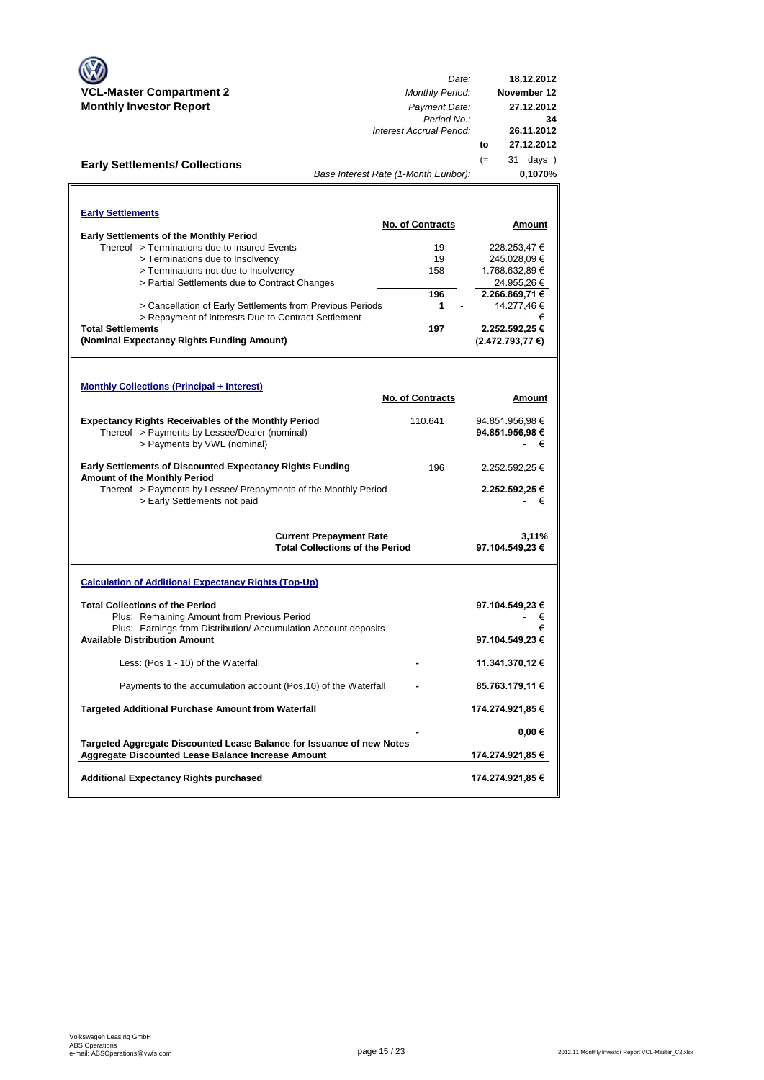|                                                                                                  | Date:                                  | 18.12.2012          |
|--------------------------------------------------------------------------------------------------|----------------------------------------|---------------------|
| <b>VCL-Master Compartment 2</b>                                                                  | <b>Monthly Period:</b>                 | November 12         |
| <b>Monthly Investor Report</b>                                                                   | Payment Date:                          | 27.12.2012          |
|                                                                                                  | Period No.:                            | 34                  |
|                                                                                                  | Interest Accrual Period:               | 26.11.2012          |
|                                                                                                  |                                        | 27.12.2012<br>to    |
| <b>Early Settlements/ Collections</b>                                                            |                                        | $(=)$<br>31 days )  |
|                                                                                                  | Base Interest Rate (1-Month Euribor):  | 0,1070%             |
|                                                                                                  |                                        |                     |
| <b>Early Settlements</b>                                                                         |                                        |                     |
|                                                                                                  | <b>No. of Contracts</b>                | Amount              |
| <b>Early Settlements of the Monthly Period</b>                                                   |                                        |                     |
| Thereof > Terminations due to insured Events                                                     | 19                                     | 228.253,47 €        |
| > Terminations due to Insolvency                                                                 | 19                                     | 245.028,09€         |
| > Terminations not due to Insolvency                                                             | 158                                    | 1.768.632,89 €      |
| > Partial Settlements due to Contract Changes                                                    |                                        | 24.955,26 €         |
|                                                                                                  | 196                                    | 2.266.869,71 €      |
| > Cancellation of Early Settlements from Previous Periods                                        | 1                                      | 14.277,46€          |
| > Repayment of Interests Due to Contract Settlement                                              |                                        | - €                 |
| <b>Total Settlements</b>                                                                         | 197                                    | 2.252.592,25 €      |
| (Nominal Expectancy Rights Funding Amount)                                                       |                                        | $(2.472.793,77)$ €) |
|                                                                                                  |                                        |                     |
|                                                                                                  |                                        |                     |
| <b>Monthly Collections (Principal + Interest)</b>                                                |                                        |                     |
|                                                                                                  | <b>No. of Contracts</b>                | Amount              |
| <b>Expectancy Rights Receivables of the Monthly Period</b>                                       | 110.641                                | 94.851.956,98 €     |
| Thereof > Payments by Lessee/Dealer (nominal)                                                    |                                        | 94.851.956,98 €     |
| > Payments by VWL (nominal)                                                                      |                                        | €                   |
|                                                                                                  |                                        |                     |
| <b>Early Settlements of Discounted Expectancy Rights Funding</b><br>Amount of the Monthly Period | 196                                    | 2.252.592,25 €      |
| Thereof > Payments by Lessee/ Prepayments of the Monthly Period                                  |                                        | 2.252.592,25 €      |
| > Early Settlements not paid                                                                     |                                        | - €                 |
|                                                                                                  |                                        |                     |
|                                                                                                  | <b>Current Prepayment Rate</b>         | 3,11%               |
|                                                                                                  | <b>Total Collections of the Period</b> | 97.104.549,23 €     |
|                                                                                                  |                                        |                     |
| <b>Calculation of Additional Expectancy Rights (Top-Up)</b>                                      |                                        |                     |
| <b>Total Collections of the Period</b>                                                           |                                        | 97.104.549,23 €     |
| Plus: Remaining Amount from Previous Period                                                      |                                        | €                   |
| Plus: Earnings from Distribution/Accumulation Account deposits                                   |                                        | €                   |
| <b>Available Distribution Amount</b>                                                             |                                        | 97.104.549,23 €     |
|                                                                                                  |                                        |                     |
| Less: (Pos 1 - 10) of the Waterfall                                                              |                                        | 11.341.370,12 €     |
| Payments to the accumulation account (Pos.10) of the Waterfall                                   |                                        | 85.763.179,11 €     |
|                                                                                                  |                                        |                     |
| <b>Targeted Additional Purchase Amount from Waterfall</b>                                        |                                        | 174.274.921,85 €    |
|                                                                                                  |                                        | $0,00 \in$          |
| Targeted Aggregate Discounted Lease Balance for Issuance of new Notes                            |                                        |                     |
| Aggregate Discounted Lease Balance Increase Amount                                               |                                        | 174.274.921,85 €    |
|                                                                                                  |                                        |                     |
| <b>Additional Expectancy Rights purchased</b>                                                    |                                        | 174.274.921,85 €    |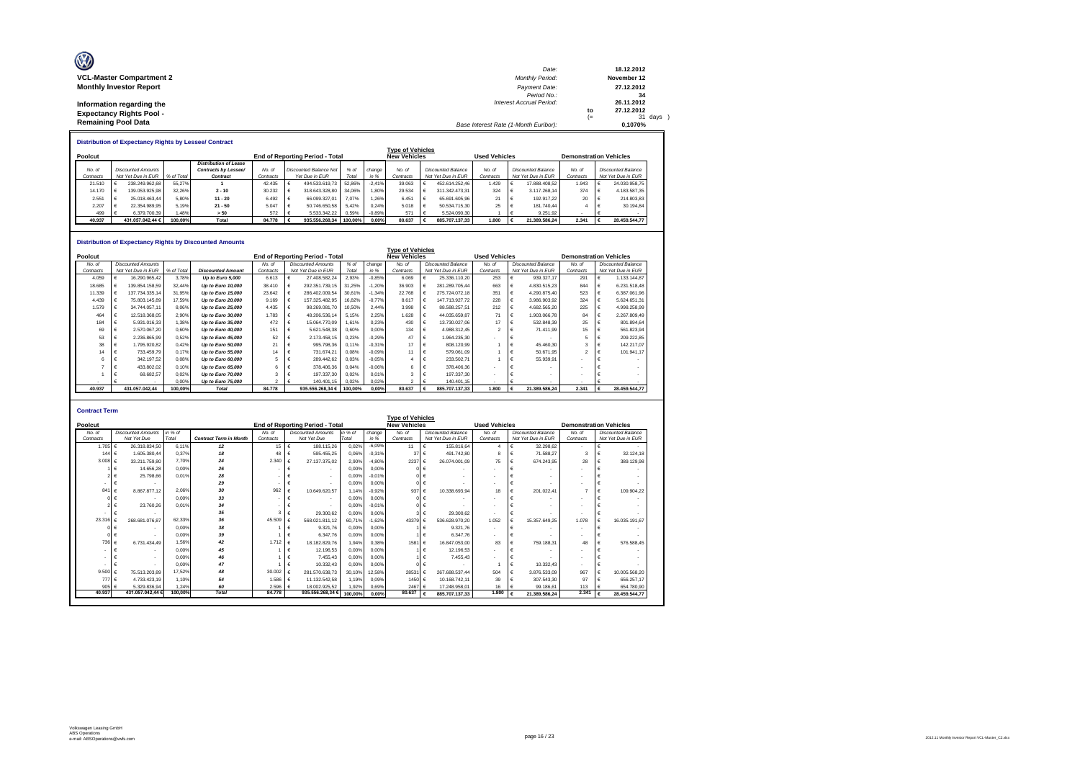| O<br><b>VCL-Master Compartment 2</b> | Date:<br><b>Monthly Period:</b>       |      | 18.12.2012<br>November 12 |
|--------------------------------------|---------------------------------------|------|---------------------------|
| <b>Monthly Investor Report</b>       | Payment Date:                         |      | 27.12.2012                |
|                                      | Period No.:                           |      | 34                        |
| Information regarding the            | <b>Interest Accrual Period:</b>       |      | 26.11.2012                |
| <b>Expectancy Rights Pool -</b>      |                                       | to   | 27.12.2012                |
|                                      |                                       | $(=$ | 31 days )                 |
| <b>Remaining Pool Data</b>           | Base Interest Rate (1-Month Euribor): |      | 0.1070%                   |

|           | <b>Distribution of Expectancy Rights by Lessee/ Contract</b> |                    |            |                              |           |  |                                        |         |          |                     |  |                    |                      |  |                           |                               |  |                           |
|-----------|--------------------------------------------------------------|--------------------|------------|------------------------------|-----------|--|----------------------------------------|---------|----------|---------------------|--|--------------------|----------------------|--|---------------------------|-------------------------------|--|---------------------------|
|           | <b>Type of Vehicles</b>                                      |                    |            |                              |           |  |                                        |         |          |                     |  |                    |                      |  |                           |                               |  |                           |
| Poolcut   |                                                              |                    |            |                              |           |  | <b>End of Reporting Period - Total</b> |         |          | <b>New Vehicles</b> |  |                    | <b>Used Vehicles</b> |  |                           | <b>Demonstration Vehicles</b> |  |                           |
|           |                                                              |                    |            | <b>Distribution of Lease</b> |           |  |                                        |         |          |                     |  |                    |                      |  |                           |                               |  |                           |
| No. of    |                                                              | Discounted Amounts |            | Contracts by Lessee/         | No. a     |  | Discounted Balance Not                 | % of    | change   | No. of              |  | Discounted Balance | No. of               |  | <b>Discounted Balance</b> | No. of                        |  | <b>Discounted Balance</b> |
| Contracts |                                                              | Not Yet Due in EUR | % of Total | Contract                     | Contracts |  | Yet Due in EUR                         | Total   | in %     | Contracts           |  | Not Yet Due in EUR | Contracts            |  | Not Yet Due in EUR        | Contracts                     |  | Not Yet Due in EUR        |
| 21.510    |                                                              | 238.249.962.68     | 55.27%     |                              | 42.435    |  | 494.533.619.73                         | 52.86%  | $-2.41%$ | 39.063              |  | 452.614.252.46     | 1.429                |  | 17.888.408.52             | 1.943                         |  | 24.030.958.75             |
| 14.170    |                                                              | 139.053.925.98     | 32.26%     | $2 - 10$                     | 30.232    |  | 318.643.328.80                         | 34.06%  | 1.80%    | 29.534              |  | 311.342.473.31     | 324                  |  | 3.117.268.14              | 374                           |  | 4.183.587.35              |
| 2.551     |                                                              | 25.018.463.44      | 5.80%      | $11 - 20$                    | 6.492     |  | 66.099.327.01                          | 7.07%   | 1.26%    | 6.451               |  | 65.691.605.96      | 21                   |  | 192.917.22                | 20                            |  | 214,803.83                |
| 2.207     |                                                              | 22.354.989.95      | 5.19%      | $21 - 50$                    | 5.047     |  | 50.746.650.58                          | 5.42%   | 0.24%    | 5.018               |  | 50.534.715.30      | 25                   |  | 181,740.44                |                               |  | 30.194.84                 |
| 499       |                                                              | 6.379.700.39       | .48%       | > 50                         | 572       |  | 5.533.342.22                           | 0.59%   | $-0.89%$ | 571                 |  | 5.524.090.30       |                      |  | 9.251.92                  |                               |  |                           |
| 40.937    |                                                              | 431.057.042.44 €   | 100.00%    | Total                        | 84,778    |  | 935.556.268.34                         | 100.00% | 0.00%    | 80.637              |  | 885,707,137,33     | 1,800                |  | 21.389.586.24             | 2.341                         |  | 28.459.544.77             |

#### **Distribution of Expectancy Rights by Discounted Amounts**

|           |                           |            | Distribution of Expectancy Rights by Discounted Amounts |           |                                 |         |          |                         |                           |                      |                           |                               |   |                           |
|-----------|---------------------------|------------|---------------------------------------------------------|-----------|---------------------------------|---------|----------|-------------------------|---------------------------|----------------------|---------------------------|-------------------------------|---|---------------------------|
|           |                           |            |                                                         |           |                                 |         |          | <b>Type of Vehicles</b> |                           |                      |                           |                               |   |                           |
| Poolcut   |                           |            |                                                         |           | End of Reporting Period - Total |         |          | <b>New Vehicles</b>     |                           | <b>Used Vehicles</b> |                           | <b>Demonstration Vehicles</b> |   |                           |
| No. of    | <b>Discounted Amounts</b> |            |                                                         | No. of    | <b>Discounted Amounts</b>       | % of    | change   | No. of                  | <b>Discounted Balance</b> | No. of               | <b>Discounted Balance</b> | No. of                        |   | <b>Discounted Balance</b> |
| Contracts | Not Yet Due in EUR        | % of Total | <b>Discounted Amount</b>                                | Contracts | Not Yet Due in EUR              | Total   | in %     | Contracts               | Not Yet Due in EUR        | Contracts            | Not Yet Due in EUR        | Contracts                     |   | Not Yet Due in EUR        |
| 4.059     | 16.290.965.42             | 3.78%      | Up to Euro 5,000                                        | 6.613     | 27.408.582.24                   | 2.93%   | $-0.85%$ | 6.069                   | 25.336.110.20             | 253                  | 939.327.17                | 291                           |   | 1.133.144.87              |
| 18.685    | 139.854.158.59            | 32.44%     | Up to Euro 10,000                                       | 38.410    | 292.351.739.15                  | 31.25%  | $-1.20%$ | 36.903                  | 281.289.705.44            | 663                  | 4.830.515.23              | 844                           | € | 6.231.518.48              |
| 11.339    | 137.734.335.14            | 31.95%     | Up to Euro 15,000                                       | 23.642    | 286.402.009.54                  | 30.61%  | $-1,34%$ | 22.768                  | 275.724.072.18            | 351                  | 4.290.875.40              | 523                           |   | 6.387.061.96              |
| 4.439     | 75,803,145.89             | 17.59%     | Up to Euro 20,000                                       | 9.169     | 157.325.482.95                  | 16.82%  | $-0.77%$ | 8.617                   | 147.713.927.72            | 228                  | 3.986.903,92              | 324                           |   | 5.624.651.31              |
| 1.579     | 34.744.057.11             | 8.06%      | Up to Euro 25,000                                       | 4.435     | 98.269.081.70                   | 10.50%  | 2.44%    | 3.998                   | 88.588.257.51             | 212                  | 4.682.565.20              | 225                           |   | 4.998.258,99              |
| 464       | 12.518.368.05             | 2.90%      | Up to Euro 30,000                                       | 1.783     | 48.206.536.14                   | 5.15%   | 2.25%    | 1.628                   | 44.035.659.87             | 71                   | 1.903.066.78              | 84                            |   | 2.267.809.49              |
| 184       | 5.931.016.33              | 1.38%      | Up to Euro 35,000                                       | 472       | 15.064.770.09                   | 1.61%   | 0,23%    | 430                     | 13.730.027.06             | 17                   | 532.848.39                | 25                            |   | 801.894.64                |
| 69        | 2.570.067.20              | 0.60%      | Up to Euro 40,000                                       | 151       | 5.621.548.38                    | 0.60%   | 0.00%    | 134                     | 4.988.312.45              |                      | 71.411.99                 | 15                            |   | 561.823,94                |
| 53        | 2.236.865.99              | 0.52%      | Up to Euro 45,000                                       | 52        | 2.173.458,15                    | 0.23%   | $-0,29%$ | 47                      | 1.964.235.30              |                      |                           |                               |   | 209.222.85                |
| 38        | 1.795.920.82              | 0.42%      | Up to Euro 50,000                                       | 21        | 995.798,36                      | 0.11%   | $-0.31%$ | 17                      | 808.120.99                |                      | 45.460.30                 |                               | € | 142.217.07                |
| 14        | 733,459.79                | 0.17%      | Up to Euro 55,000                                       | 14        | 731.674.21                      | 0.08%   | $-0.09%$ | 11                      | 579.061.09                |                      | 50.671.95                 |                               | € | 101.941.17                |
|           | 342.197.52                | 0.08%      | Up to Euro 60,000                                       |           | 289.442.62                      | 0.03%   | $-0,05%$ |                         | 233.502.71                |                      | 55.939.91                 |                               |   |                           |
|           | 433,802.02                | 0.10%      | Up to Euro 65,000                                       |           | 378.406.36                      | 0.04%   | $-0.06%$ |                         | 378,406.36                |                      |                           |                               |   |                           |
|           | 68.682.57                 | 0.02%      | Up to Euro 70,000                                       |           | 197.337,30                      | 0.02%   | 0,01%    |                         | 197.337.30                |                      |                           |                               |   |                           |
|           |                           | 0.00%      | Up to Euro 75,000                                       | 2         | 140.401.15                      | 0.02%   | 0.02%    |                         | 140.401.15                |                      |                           |                               |   |                           |
| 40.937    | 431.057.042.44            | 100.00%    | <b>Total</b>                                            | 84,778    | 935.556.268.34 €                | 100.00% | 0.00%    | 80.637                  | 885,707,137,33            | 1.800                | 21.389.586.24             | 2.341                         |   | 28.459.544.77             |

| <b>Contract Term</b> |                           |         |                               |             |                                        |         |          |                     |                           |                          |                    |                               |                             |  |  |  |
|----------------------|---------------------------|---------|-------------------------------|-------------|----------------------------------------|---------|----------|---------------------|---------------------------|--------------------------|--------------------|-------------------------------|-----------------------------|--|--|--|
|                      | <b>Type of Vehicles</b>   |         |                               |             |                                        |         |          |                     |                           |                          |                    |                               |                             |  |  |  |
| Poolcut              |                           |         |                               |             | <b>End of Reporting Period - Total</b> |         |          | <b>New Vehicles</b> |                           | <b>Used Vehicles</b>     |                    | <b>Demonstration Vehicles</b> |                             |  |  |  |
| No. of               | <b>Discounted Amounts</b> | in % of |                               | No. of      | <b>Discounted Amounts</b>              | in % of | change   | No of               | <b>Discounted Balance</b> | No. of                   | Discounted Balance | No of                         | <b>Discounted Balance</b>   |  |  |  |
| Contracts            | Not Yet Due               | Total   | <b>Contract Term in Month</b> | Contracts   | Not Yet Due                            | Total   | in %     | Contracts           | Not Yet Due in EUR        | Contracts                | Not Yet Due in EUR | Contracts                     | Not Yet Due in EUR          |  |  |  |
| 1.705                | 26.318.834.50             | 6.11%   | 12                            | $15 \in$    | 188.115.26                             | 0.02%   | $-6.09%$ | 11                  | €<br>155,816.64           | $\boldsymbol{A}$         | 32.298.62          | $\sim$                        | €                           |  |  |  |
| 144 $6$              | 1.605.380.44              | 0.37%   | 18                            | 48          | 595.455.25                             | 0.06%   | $-0.31%$ | 37                  | 491.742.80                | 8                        | 71.588.27          |                               | 32.124.18<br>€              |  |  |  |
| 3.008 $\epsilon$     | 33.211.759.80             | 7.70%   | 24                            | 2.340       | 27.137.375.02                          | 2.90%   | $-4.80%$ | 2237                | 26.074.001.09<br>€        | 75                       | 674.243.95         | 28                            | 389.129.98<br>€             |  |  |  |
|                      | 14.656.28                 | 0.00%   | 26                            |             | $\sim$                                 | 0.00%   | 0.00%    |                     |                           | $\overline{\phantom{a}}$ |                    |                               |                             |  |  |  |
|                      | 25.798.66                 | 0.01%   | 28                            |             | $\overline{\phantom{a}}$               | 0.00%   | $-0.01%$ |                     | $\overline{\phantom{a}}$  | $\sim$                   |                    | ٠                             |                             |  |  |  |
| ۰                    |                           |         | 29                            |             | $\overline{\phantom{a}}$               | 0.00%   | 0.00%    |                     | $\overline{\phantom{a}}$  | $\overline{\phantom{a}}$ |                    |                               |                             |  |  |  |
| 841                  | 8.867.877.12<br>∣€        | 2.06%   | 30                            | 962         | 10.649.620.57                          | 1.14%   | $-0.92%$ | 937                 | 10.338.693.94<br>€        | 18                       | 201.022.41         |                               | 109.904.22<br>€             |  |  |  |
|                      |                           | 0.00%   | 33                            |             | $\overline{\phantom{a}}$               | 0.00%   | 0.00%    |                     | $\blacksquare$            | $\overline{\phantom{a}}$ |                    | ٠                             |                             |  |  |  |
|                      | 23.760.26                 | 0.01%   | 34                            |             |                                        | 0.00%   | $-0.01%$ |                     |                           | $\overline{\phantom{a}}$ |                    | $\overline{\phantom{a}}$      |                             |  |  |  |
|                      |                           |         | 35                            | з           | 29.300.62                              | 0.00%   | 0.00%    |                     | 29.300.62                 | $\sim$                   |                    | $\overline{\phantom{a}}$      |                             |  |  |  |
| $23.316 \in$         | 268.681.076.87            | 62.33%  | 36                            | 45.509      | 568.021.811.12                         | 60.71%  | $-1.62%$ | 43379               | 536.628.970.20<br>€       | 1.052                    | 15.357.649.25      | 1.078                         | $\epsilon$<br>16.035.191.67 |  |  |  |
|                      |                           | 0.00%   | 38                            |             | 9.321.76<br>€                          | 0.00%   | 0.00%    |                     | 9.321,76                  | $\overline{\phantom{a}}$ | $\sim$             | $\overline{\phantom{a}}$      |                             |  |  |  |
|                      |                           | 0.00%   | 39                            |             | 6.347.76                               | 0,00%   | 0.00%    |                     | 6,347.76                  | $\sim$                   |                    | $\overline{\phantom{a}}$      | €                           |  |  |  |
| 736 €                | 6.731.434.49              | 1.56%   | 42                            | 1.712 $\in$ | 18, 182, 829, 76                       | 1.94%   | 0.38%    | 1581                | €<br>16,847,053,00        | 83                       | 759.188.31         | 48                            | 576,588.45<br>€             |  |  |  |
| ۰                    |                           | 0.00%   | 45                            |             | 12.196.53<br>€                         | 0.00%   | 0.00%    |                     | 12.196.53                 | $\blacksquare$           |                    | $\overline{\phantom{a}}$      |                             |  |  |  |
|                      |                           | 0.00%   | 46                            |             | 7.455.43                               | 0.00%   | 0.00%    |                     | 7.455.43                  | $\overline{\phantom{a}}$ |                    | ٠                             |                             |  |  |  |
|                      |                           | 0.00%   | 47                            |             | 10.332.43                              | 0.00%   | 0.00%    |                     |                           |                          | 10.332.43          | $\overline{\phantom{a}}$      |                             |  |  |  |
| $9.500 \in$          | 75.513.203.89             | 17.52%  | 48                            | 30.002      | 281.570.638.73                         | 30.10%  | 12.58%   | 28531               | 267.688.537.44            | 504                      | 3.876.533.09<br>€  | 967                           | $\epsilon$<br>10.005.568.20 |  |  |  |
| 777 €                | 4.733.423.19              | 1.10%   | 54                            | 1.586       | $\epsilon$<br>11.132.542.58            | 1.19%   | 0.09%    | 1450 €              | 10.168.742.11             | 39                       | 307.543.30         | 97                            | 656.257.17                  |  |  |  |
| 905 €                | 5.329.836.94              | 1.24%   | 60                            | $2.596$ €   | 18.002.925.52                          | 1.92%   | 0.69%    | 2467                | 17.248.958.01<br>€        | 16                       | 99.186.61          | 113                           | 654.780,90<br>€             |  |  |  |
| 40.937               | 431.057.042.44 €          | 100,00% | Total                         | 84,778      | 935,556,268,34€                        | 100.00% | 0,00%    | 80.637              | 885.707.137.33            | 1.800                    | 21.389.586.24      | 2.341                         | 28.459.544.77<br>$\epsilon$ |  |  |  |
|                      |                           |         |                               |             |                                        |         |          |                     |                           |                          |                    |                               |                             |  |  |  |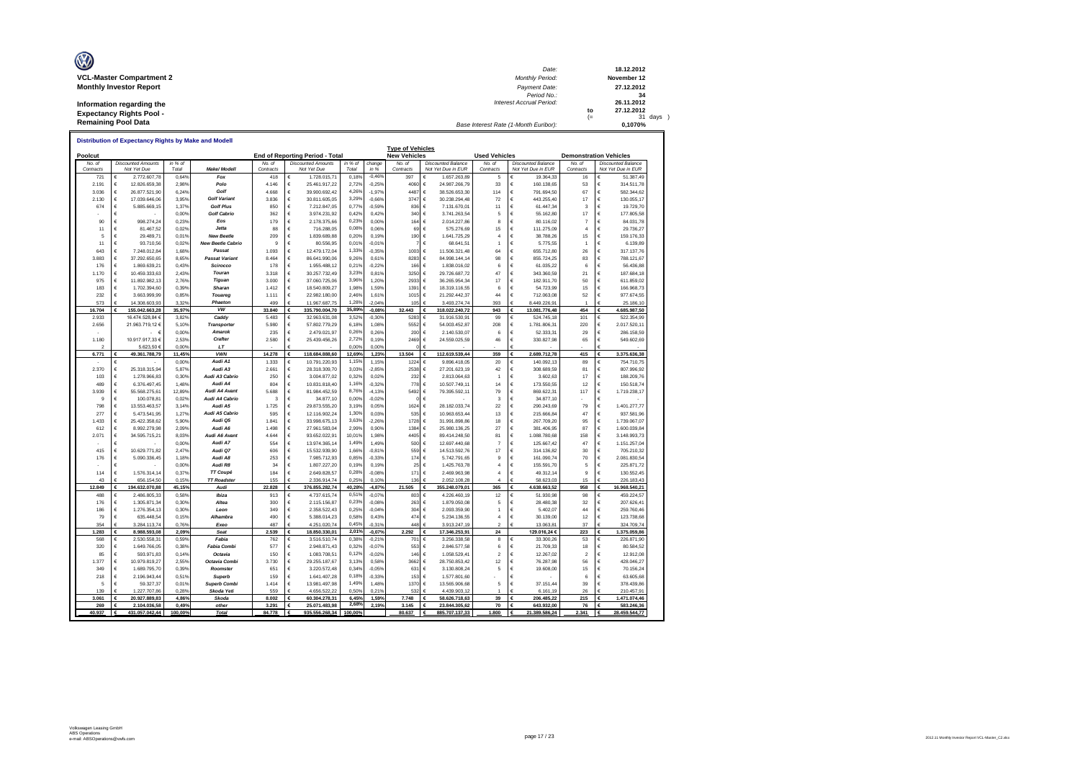| O<br><b>VCL-Master Compartment 2</b> | Date:<br><b>Monthly Period:</b>       |      | 18.12.2012<br>November 12 |
|--------------------------------------|---------------------------------------|------|---------------------------|
| <b>Monthly Investor Report</b>       | Payment Date:                         |      | 27.12.2012                |
|                                      | Period No.:                           |      | 34                        |
| Information regarding the            | <b>Interest Accrual Period:</b>       |      | 26.11.2012                |
| <b>Expectancy Rights Pool -</b>      |                                       | to   | 27.12.2012                |
|                                      |                                       | $(=$ | 31 days )                 |
| <b>Remaining Pool Data</b>           | Base Interest Rate (1-Month Euribor): |      | 0.1070%                   |

|                     | <u>Distribution of Expectancy Rights by Make and Modell</u><br><b>Type of Vehicles</b> |                               |                  |                                |                  |        |                                          |                  |                      |                     |        |                                                 |                          |        |                                 |                               |        |                                                 |
|---------------------|----------------------------------------------------------------------------------------|-------------------------------|------------------|--------------------------------|------------------|--------|------------------------------------------|------------------|----------------------|---------------------|--------|-------------------------------------------------|--------------------------|--------|---------------------------------|-------------------------------|--------|-------------------------------------------------|
| Poolcut             |                                                                                        |                               |                  |                                |                  |        | End of Reporting Period - Total          |                  |                      | <b>New Vehicles</b> |        |                                                 | <b>Used Vehicles</b>     |        |                                 | <b>Demonstration Vehicles</b> |        |                                                 |
| No. of<br>Contracts |                                                                                        | <b>Discounted Amounts</b>     | in % of<br>Total | Make/ Modell                   | No. of           |        | <b>Discounted Amounts</b><br>Not Yet Due | in % of<br>Total | change               | No. of<br>Contracts |        | <b>Discounted Balance</b><br>Not Yet Due in EUR | No. of<br>Contracts      |        | <b>Discounted Balance</b>       | No. of<br>Contracts           |        | <b>Discounted Balance</b><br>Not Yet Due in EUR |
| 721                 | €                                                                                      | Not Yet Due<br>2.772.607,78   | 0,64%            | Fox                            | Contracts<br>418 | €      | 1.728.015,71                             | 0,18             | in %<br>$-0,469$     | 397                 | €      | 1.657.263,89                                    | 5                        |        | Not Yet Due in EUR<br>19.364,33 | 16                            |        | 51.387,49                                       |
| 2.191               | €                                                                                      | 12.826.659.38                 | 2.98%            | Polo                           | 4 146            | €      | 25.461.917,22                            | 2,72%            | $-0.25%$             | 4060                | €      | 24.987.266.79                                   | 33                       | €      | 160.138.65                      | 53                            | €      | 314.511,78                                      |
| 3.036               | €                                                                                      | 26.877.521,90                 | 6,249            | Golf                           | 4668             | €      | 39.900.692,42                            | 4,269            | $-1,97%$             | 4487                | €      | 38.526.653,30                                   | 114                      | €      | 791.694,50                      | 67                            | €      | 582.344,62                                      |
| 2.130               | €                                                                                      | 17.039.646,06                 | 3,95%            | <b>Golf Variant</b>            | 3.836            | €      | 30.811.605,05                            | 3,29%            | $-0,66%$             | 3747                | €      | 30.238.294,48                                   | 72                       | €      | 443.255,40                      | 17                            | €      | 130.055,17                                      |
| 674                 | €                                                                                      | 5.885.669,15                  | 1,379            | <b>Golf Plus</b>               | 850              | €      | 7.212.847,05                             | 0,77%            | $-0.59%$             | 836                 | €      | 7.131.670,01                                    | 11                       | €      | 61.447,34                       | $\mathbf{B}$                  | €      | 19.729,70                                       |
|                     | €                                                                                      |                               | 0,00%            | <b>Golf Cabrio</b>             | 362              | €      | 3.974.231,92                             | 0,42%            | 0,42%                | 340                 | €      | 3.741.263,54                                    | 5                        | €      | 55.162,80                       | 17                            | €      | 177.805,58                                      |
| 90                  | €                                                                                      | 998.274,24                    | 0,239            | Eos                            | 179              | €      | 2.178.375,66                             | 0,23%            | 0.00%                | 164                 | €      | 2.014.227,86                                    | 8                        | €      | 80.116,02                       | $\overline{7}$                | €      | 84.031,78                                       |
| 11                  | €                                                                                      | 81.467,52                     | 0,029            | Jetta                          | 88               | €      | 716.288,05                               | 0,08%            | 0,06%                | 69                  | €      | 575.276,69                                      | 15                       | €      | 111.275,09                      | $\overline{a}$                | €      | 29.736,27                                       |
| 5                   | €                                                                                      | 29.489,71                     | 0.019            | <b>New Beetle</b>              | 209              | €      | 1.839.689,88                             | 0,20%            | 0,19%                | 190                 | €      | 1.641.725,29                                    | $\overline{4}$           | €      | 38.788,26                       | 15                            | €      | 159.176,33                                      |
| 11                  | €                                                                                      | 93.710,56                     | 0,029            | <b>New Beetle Cabric</b>       | g                | €      | 80.556,95                                | 0,01%            | $-0,019$             |                     | €      | 68.641,51                                       | 1                        | €      | 5.775,55                        | $\overline{1}$                | €      | 6.139,89                                        |
| 643                 | €                                                                                      | 7.248.012,84                  | 1,68%            | Passat                         | 1.093            | €      | 12.479.172,04                            | 1,33%            | $-0,35%$             | 1003                | €      | 11.506.321,48                                   | 64                       | €      | 655.712,80                      | 26                            | €      | 317.137,76                                      |
| 3.883               | €                                                                                      | 37.292.650,65                 | 8,65%            | <b>Passat Variant</b>          | 8464             | €      | 86.641.990,06                            | 9,26%            | 0,61%                | 8283                | €      | 84.998.144,14                                   | 98                       | €      | 855.724,25                      | 83                            | €      | 788.121,67                                      |
| 176                 | €                                                                                      | 1.869.639,21                  | 0,43%            | Scirocco                       | 178              | €      | 1.955.488,12                             | 0,219            | $-0,229$             | 166                 | €      | 1.838.016,02                                    | 6                        | €      | 61.035,22                       | 6                             | €      | 56.436,88                                       |
| 1.170               | €                                                                                      | 10.459.333,63                 | 2,43%            | Touran                         | 3.318            | €      | 30.257.732,49                            | 3,23%            | 0,81%                | 3250                | €      | 29.726.687,72                                   | 47                       | €<br>€ | 343.360,59                      | 21                            | €<br>€ | 187.684,18                                      |
| 975<br>183          | €<br>€                                                                                 | 11.892.982,13<br>1.702.394,60 | 2,769<br>0,39%   | Tiguan<br>Sharan               | 3.000<br>1.412   | €<br>€ | 37.060.725,06<br>18.540.809,27           | 3,96%<br>1,98%   | 1,20%<br>1,59%       | 2933<br>1391        | €<br>€ | 36.265.954,34<br>18.319.116,55                  | 17<br>6                  | €      | 182.911,70<br>54.723,99         | 50<br>15                      | €      | 611.859,02<br>166.968,73                        |
| 232                 | €                                                                                      | 3.663.999,99                  | 0,85%            | Touareg                        | 1.111            | €      | 22.982.180,00                            | 2,46%            | 1,61%                | 1015                | €      | 21.292.442,37                                   | 44                       | €      | 712.063,08                      | 52                            | €      | 977.674,55                                      |
| 573                 | €                                                                                      | 14.308.603,93                 | 3,32%            | Phaeton                        | 499              | €      | 11.967.687,75                            | 1,289            | $-2,04%$             | 105                 |        | 3.493.274,74                                    | 393                      |        | 8.449.226,91                    |                               |        | 25.186,10                                       |
| 16.704              | €                                                                                      | 155.042.663,28                | 35,97%           | <b>VW</b>                      | 33.840           | €      | 335.790.004,70                           | 35,89%           | $-0,08$              | 32.443              |        | 318.022.240,72                                  | 943                      |        | 13.081.776,48                   | 454                           | €      | 4.685.987,50                                    |
| 2.933               |                                                                                        | 16.474.528,84 €               | 3,829            | Caddy                          | 5.483            | €      | 32.963.631,08                            | 3,52%            | $-0,30$              | 5283                | €      | 31.916.530,91                                   | 99                       | €      | 524.745,18                      | 101                           | €      | 522.354,99                                      |
| 2.656               |                                                                                        | 21.963.719,12€                | 5.109            | <b>Transporter</b>             | 5.980            | €      | 57.802.779,29                            | 6,18%            | 1,08%                | 5552                | €      | 54.003.452,87                                   | 208                      | €      | 1.781.806,31                    | 220                           | €      | 2.017.520,11                                    |
|                     |                                                                                        | €<br>$\sim$                   | 0,00%            | Amarok                         | 235              | €      | 2.479.021,97                             | 0,26%            | 0.26%                | 200                 | €      | 2.140.530,07                                    | 6                        | €      | 52.333,31                       | 29                            | €      | 286.158,59                                      |
| 1.180               |                                                                                        | 10.917.917,33 €               | 2,53%            | Crafter                        | 2.580            | €      | 25.439.456,26                            | 2,72%            | 0,19%                | 2469                | €      | 24.559.025,59                                   | 46                       | €      | 330.827,98                      | 65                            | €      | 549.602,69                                      |
| $\mathcal{P}$       |                                                                                        | 5.623,50 €                    | 0.00%            | LT                             |                  | €      |                                          | 0,00%            | 0,00%                |                     | €      |                                                 |                          |        |                                 |                               |        |                                                 |
| 6.771               |                                                                                        | 49.361.788,79                 | 11,45%           | <b>VWN</b>                     | 14.278           | €      | 118.684.888,60                           | 12,69%           | 1,23%                | 13.504              | €      | 112.619.539,44                                  | 359                      | €      | 2.689.712,78                    | 415                           | €      | 3.375.636,38                                    |
|                     | €                                                                                      |                               | 0,009            | Audi A1                        | 1.333            | €      | 10.791.220,93                            | 1,15%            | 1,15%                | 1224                | €      | 9.896.418,05                                    | 20                       |        | 140.092,13                      | 89                            | €      | 754.710,75                                      |
| 2.370               | €                                                                                      | 25.318.315,94                 | 5,87%            | Audi A3<br>Audi A3 Cabrio      | 2.661            | €      | 28.318.309,70                            | 3,03%<br>0,32%   | $-2.85%$             | 2538                | €      | 27.201.623,19                                   | 42                       | €      | 308.689,59                      | 81                            | €      | 807.996,92                                      |
| 103<br>489          | €<br>€                                                                                 | 1.278.966.83<br>6.376.497,45  | 0.30%<br>1,489   | Audi A4                        | 250<br>804       | €<br>€ | 3.004.877,02<br>10.831.818,40            |                  | 0.02%<br>$-0,32%$    | 232<br>778          | €<br>€ | 2.813.064,63<br>10.507.749,11                   | 1<br>14                  | €<br>€ | 3.602.63<br>173.550,55          | 17<br>12                      | €<br>€ | 188.209,76<br>150.518,74                        |
| 3.939               | €                                                                                      | 55.568.275.61                 | 12.89%           | Audi A4 Avant                  | 5.688            | €      | 81.984.452.59                            | 1,16%<br>8,76%   | $-4.13%$             | 5492                | €      | 79.395.592.11                                   | 79                       | €      | 869.622.31                      | 117                           | €      | 1.719.238.17                                    |
| 9                   | $\epsilon$                                                                             | 100.078,81                    | 0,029            | Audi A4 Cabrio                 | 3                | €      | 34.877,10                                | 0,00%            | $-0,029$             |                     | €      |                                                 | 3                        | €      | 34.877,10                       |                               | €      |                                                 |
| 798                 | €                                                                                      | 13.553.463,57                 | 3,14%            | Audi A5                        | 1.725            | €      | 29.873.555.20                            | 3,19%            | 0.05%                | 1624                | €      | 28.182.033.74                                   | 22                       | €      | 290.243,69                      | 79                            | €      | 1.401.277,77                                    |
| 277                 | €                                                                                      | 5.473.541,95                  | 1.27%            | Audi A5 Cabrio                 | 595              | €      | 12.116.902.24                            | 1,30%            | 0.03%                | 535                 | €      | 10.963.653.44                                   | 13                       | €      | 215.666,84                      | 47                            | €      | 937.581.96                                      |
| 1.433               | €                                                                                      | 25.422.358,62                 | 5.90%            | Audi Q5                        | 1.841            | €      | 33.998.675,13                            | 3,63%            | $-2.26%$             | 1728                | €      | 31.991.898,86                                   | 18                       | €      | 267.709,20                      | 95                            | €      | 1.739.067,07                                    |
| 612                 | €                                                                                      | 8.992.279.98                  | 2.09%            | Audi A6                        | 1.498            | €      | 27.961.583.04                            | 2,99%            | 0.90%                | 1384                | €      | 25.980.136.25                                   | 27                       | €      | 381.406.95                      | 87                            | €      | 1.600.039.84                                    |
| 2.071               | €                                                                                      | 34.595.715,21                 | 8,03%            | Audi A6 Avant                  | 4.644            | €      | 93.652.022,91                            | 10,01%           | 1,98%                | 4405                | €      | 89.414.248,50                                   | 81                       | €      | 1.088.780,68                    | 158                           | €      | 3.148.993,73                                    |
|                     | €                                                                                      |                               | 0.00%            | Audi A7                        | 554              | €      | 13.974.365,14                            | 1.49%            | 1.49%                | 500                 | €      | 12.697.440,68                                   | $\overline{7}$           | €      | 125.667,42                      | 47                            | €      | 1.151.257,04                                    |
| 415                 | €                                                                                      | 10.629.771,82                 | 2,47%            | Audi Q7                        | 606              | €      | 15.532.939,90                            | 1,66%            | $-0,819$             | 559                 | €      | 14.513.592,76                                   | 17                       | €      | 314.136,82                      | 30                            | €      | 705.210,32                                      |
| 176                 | €                                                                                      | 5.090.336,45                  | 1,189            | Audi A8                        | 253              | €      | 7.985.712,93                             | 0,85%            | $-0,33%$             | 174                 | €      | 5.742.791,65                                    | 9                        | €      | 161.090,74                      | 70                            | €      | 2.081.830,54                                    |
|                     | €                                                                                      |                               | 0.00%            | Audi R8                        | 34               | €      | 1.807.227.20                             | 0,19%            | 0.19%                | 25                  | €      | 1.425.763,78                                    | $\overline{4}$           | €      | 155.591.70                      | 5                             | €      | 225.871,72                                      |
| 114<br>43           | €<br>€                                                                                 | 1.576.314,14<br>656.154.50    | 0,37%<br>0.15%   | TT Coupé<br><b>TT Roadster</b> | 184<br>155       | €<br>€ | 2.649.828,57<br>2.336.914.74             | 0,28%<br>0.25%   | $-0,08%$<br>0.10%    | 171<br>136          | €<br>€ | 2.469.963,98<br>2.052.108.28                    | $\overline{a}$<br>4      | €      | 49.312,14<br>58,623.03          | 9<br>15                       | €<br>€ | 130.552,45<br>226.183.43                        |
| 12,849              |                                                                                        | 194.632.070,88                | 45,15%           | Audi                           | 22.828           | €      | 376.855.282,74                           | 40,28%           | $-4,87%$             | 21.505              |        | 355.248.079,01                                  | 365                      |        | 4.638.663,52                    | 958                           | €      | 16.968.540,21                                   |
| 488                 | €                                                                                      | 2.486.805,33                  | 0,58%            | Ibiza                          | 913              | €      | 4.737.615,74                             | 0.51%            | $-0.079$             | 803                 | €      | 4.226.460,19                                    | 12                       | €      | 51.930,98                       | 98                            | €      | 459.224,57                                      |
| 176                 | €                                                                                      | 1.305.871,34                  | 0,30%            | Altea                          | 300              | €      | 2.115.156,87                             | 0,23%            | $-0,08%$             | 263                 | €      | 1.879.050,08                                    | 5                        | €      | 28.480,38                       | 32                            | €      | 207.626,41                                      |
| 186                 | €                                                                                      | 1.276.354,13                  | 0,30%            | Leon                           | 349              | €      | 2.358.522,43                             | 0,25%            | $-0,04%$             | 304                 | €      | 2.093.359,90                                    | 1                        | €      | 5.402,07                        | 44                            | €      | 259.760,46                                      |
| 79                  | €                                                                                      | 635.448.54                    | 0,15%            | Alhambra                       | 490              | €      | 5.388.014.23                             | 0,58%            | 0.43%                | 474                 | €      | 5.234.136,55                                    | $\overline{4}$           | €      | 30.139.00                       | 12                            | €      | 123,738.68                                      |
| 354                 | €                                                                                      | 3.284.113,74                  | 0,76%            | Exeo                           | 487              | €      | 4.251.020,74                             | 0,45°            | $-0,319$             | 448                 | €      | 3.913.247,19                                    | $\overline{\phantom{a}}$ |        | 13.063,81                       | 37                            | €      | 324.709,74                                      |
| 1.283               | €                                                                                      | 8.988.593,08                  | 2,09%            | <b>Seat</b>                    | 2.539            | €      | 18.850.330,01                            | 2,01%            | $-0,07%$             | 2.292               | €      | 17.346.253,91                                   | ${\bf 24}$               |        | 129.016,24€                     | 223                           | €      | 1.375.059,86                                    |
| 568                 | €                                                                                      | 2.530.558,31                  | 0,599            | Fabia                          | 762              | €      | 3.516.510,74                             | 0,38%            | $-0,219$             | 701                 | €      | 3.256.338,58                                    | 8                        |        | 33.300,26                       | 53                            | €      | 226.871,90                                      |
| 320                 | €                                                                                      | 1.649.766,05                  | 0,38%            | Fabia Combi                    | 577              | €      | 2.948.871,43                             | 0,32%            | $-0,07%$             | 553                 | €      | 2.846.577,58                                    | 6                        | €      | 21.709,33                       | 18                            | €      | 80.584,52                                       |
| 85                  | €                                                                                      | 593.971,83                    | 0.149            | Octavia                        | 150              | €      | 1.083.708,51                             | 0,12%            | $-0.02%$             | 146                 | €      | 1.058.529,41                                    | $\overline{2}$           | €      | 12.267,02                       | $\overline{2}$                | €      | 12.912,08                                       |
| 1.377               | €                                                                                      | 10.979.819,27                 | 2,55%            | Octavia Combi                  | 3.730            | €      | 29.255.187,67                            | 3,13%            | 0,58%                | 3662                | €      | 28.750.853,42                                   | 12                       | €      | 76.287,98                       | 56                            | €      | 428.046,27                                      |
| 349<br>218          | €<br>€                                                                                 | 1.689.795,70<br>2.196.943,44  | 0.39%<br>0,519   | Roomster<br><b>Superb</b>      | 651<br>159       | €<br>€ | 3.220.572,48<br>1.641.407,28             | 0,34%<br>0,18%   | $-0.05%$<br>$-0,33%$ | 631<br>153          | €<br>€ | 3.130.808,24<br>1.577.801,60                    | 5                        | €<br>€ | 19.608,00                       | 15<br>6                       | €<br>€ | 70.156,24<br>63.605,68                          |
| 5                   | €                                                                                      | 59.327,37                     | 0,01%            | <b>Superb Combi</b>            | 1.414            | €      | 13.981.497,98                            | 1,49%            | 1,48%                | 1370                | €      | 13.565.906,68                                   | 5                        | €      | 37.151,44                       | 39                            | €      | 378.439,86                                      |
| 139                 | €                                                                                      | 1.227.707.86                  | 0.289            | Skoda Yeti                     | 559              |        | 4.656.522.22                             | 0.50%            | 0.21%                | 532                 |        | 4.439.903.12                                    |                          |        | 6.161.19                        | 26                            |        | 210.457.91                                      |
| 3.061               | €                                                                                      | 20.927.889,83                 | 4,86°            | Skoda                          | 8.002            |        | 60.304.278,31                            | $6,45^{\circ}$   | 1,59%                | 7.748               |        | 58.626.718,63                                   | 39                       | €      | 206.485,22                      | 215                           |        | 1.471.074,46                                    |
| 269                 | €                                                                                      | 2.104.036,58                  | 0,49°            | other                          | 3.291            | €      | 25.071.483,98                            | 2,68%            | 2,19%                | 3.145               |        | 23.844.305,62                                   | 70                       | €      | 643.932.00                      | 76                            |        | 583.246,36                                      |
| 40.937              | €                                                                                      | 431.057.042,44                | 100,00%          | <b>Total</b>                   | 84.778           |        | 935.556.268,34                           | 100,00%          |                      | 80.637              |        | 885.707.137,33                                  | 1.800                    |        | 21.389.586,24                   | 2.341                         |        | 28.459.544,77                                   |

г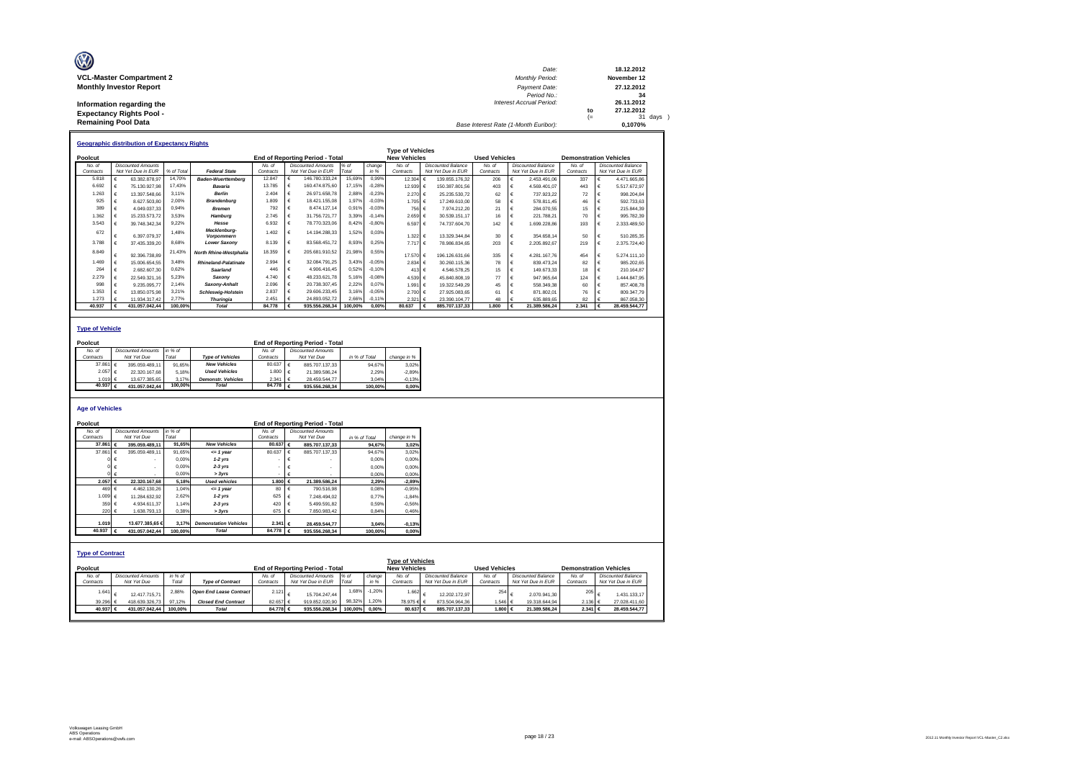| O                               | Date:                                 |     | 18.12.2012  |
|---------------------------------|---------------------------------------|-----|-------------|
| <b>VCL-Master Compartment 2</b> | <b>Monthly Period:</b>                |     | November 12 |
| <b>Monthly Investor Report</b>  | Payment Date:                         |     | 27.12.2012  |
|                                 | Period No.:                           |     | 34          |
| Information regarding the       | Interest Accrual Period:              |     | 26.11.2012  |
| <b>Expectancy Rights Pool -</b> |                                       | to  | 27.12.2012  |
|                                 |                                       | $=$ | 31 days     |
| <b>Remaining Pool Data</b>      | Base Interest Rate (1-Month Euribor): |     | 0.1070%     |

|           | <b>Geographic distribution of Expectancy Rights</b> |                           |            |                                   |           |                                        |         |          |                         |                               |                      |                           |                               |                           |
|-----------|-----------------------------------------------------|---------------------------|------------|-----------------------------------|-----------|----------------------------------------|---------|----------|-------------------------|-------------------------------|----------------------|---------------------------|-------------------------------|---------------------------|
|           |                                                     |                           |            |                                   |           |                                        |         |          | <b>Type of Vehicles</b> |                               |                      |                           |                               |                           |
| Poolcut   |                                                     |                           |            |                                   |           | <b>End of Reporting Period - Total</b> |         |          | <b>New Vehicles</b>     |                               | <b>Used Vehicles</b> |                           | <b>Demonstration Vehicles</b> |                           |
| No. of    |                                                     | <b>Discounted Amounts</b> |            |                                   | No. of    | <b>Discounted Amounts</b>              | $%$ of  | change   | No. of                  | Discounted Balance            | No. of               | <b>Discounted Balance</b> | No. of                        | <b>Discounted Balance</b> |
| Contracts |                                                     | Not Yet Due in EUR        | % of Total | <b>Federal State</b>              | Contracts | Not Yet Due in EUR                     | Total   | in %     | Contracts               | Not Yet Due in EUR            | Contracts            | Not Yet Due in EUR        | Contracts                     | Not Yet Due in EUR        |
| 5.818     |                                                     | 63.382.878.97             | 14,70%     | <b>Baden-Wuerttemberg</b>         | 12.847    | 146.780.333,24                         | 15,69%  | 0.99%    | 12.304 €                | 139.855.176.32                | 206                  | 2.453.491.06              | 337                           | 4.471.665.86              |
| 6.692     |                                                     | 75.130.927.98             | 17.43%     | Bavaria                           | 13.785    | 160.474.875.60<br>€                    | 17.15%  | $-0.28%$ | 12.939 €                | 150.387.801.56                | 403                  | 4.569.401.07<br>€         | 443                           | 5.517.672.97              |
| 1.263     |                                                     | 13.397.548.66             | 3.11%      | <b>Berlin</b>                     | 2.404     | 26.971.658.78                          | 2.88%   | $-0.23%$ | 2.270 €                 | 25.235.530.72                 | 62                   | 737.923.22                | 72                            | 998.204.84                |
| 925       |                                                     | 8.627.503.80              | 2.00%      | <b>Brandenburg</b>                | 1.809     | 18.421.155.08                          | 1,97%   | $-0,03%$ | 1.705 €                 | 17.249.610.00                 | 58                   | 578.811.45                | 46                            | 592.733.63                |
| 389       |                                                     | 4.049.037.33              | 0.94%      | <b>Bremen</b>                     | 792       | 8.474.127.14                           | 0,91%   | $-0.03%$ | 756 €                   | 7.974.212.20                  | 21                   | 284.070.55                | 15                            | 215.844.39                |
| 1.362     |                                                     | 15.233.573.72             | 3.53%      | Hamburg                           | 2.745     | 31.756.721.77                          | 3.39%   | $-0.14%$ | 2.659 €                 | 30.539.151.17                 | 16                   | 221.788.21                | 70                            | 995.782.39                |
| 3.543     |                                                     | 39.748.342.34             | 9.22%      | Hesse                             | 6.932     | 78,770,323,06<br>€                     | 8,42%   | $-0,80%$ | 6.597 €                 | 74.737.604.70                 | 142                  | €<br>1.699.228.86         | 193                           | 2.333.489.50              |
| 672       |                                                     | 6.397.079.37              | 1.48%      | Mecklenburg-<br><b>Vorpommern</b> | 1.402     | 14.194.288.33<br>€                     | 1,52%   | 0.03%    | 1.322 €                 | 13.329.344.84                 | 30                   | 354,658.14<br>€           | 50                            | 510.285.35                |
| 3.788     |                                                     | 37.435.339.20             | 8,68%      | <b>Lower Saxonv</b>               | 8.139     | 83.568.451.72                          | 8,93%   | 0,25%    | 7.717                   | 78.986.834.65<br>$\mathbf{f}$ | 203                  | €<br>2.205.892.67         | 219                           | 2.375.724.40              |
| 8.849     |                                                     | 92.396.738.89             | 21,43%     | North Rhine-Westphalia            | 18,359    | 205.681.910.52                         | 21,98%  | 0.55%    | 17.570 €                | 196.126.631.66                | 335                  | 4.281.167.76<br>€         | 454                           | 5.274.111.10              |
| 1.469     |                                                     | 15.006.654.55             | 3.48%      | <b>Rhineland-Palatinate</b>       | 2.994     | 32.084.791.25<br>€                     | 3.43%   | $-0.05%$ | 2.834 ∈                 | 30.260.115.36                 | 78                   | 839.473.24<br>€           | 82                            | 985.202.65                |
| 264       |                                                     | 2.682.607.30              | 0.62%      | Saarland                          | 446       | 4.906.416.45<br>€                      | 0,52%   | $-0.10%$ | 413 $6$                 | 4.546.578.25                  | 15                   | €<br>149.673.33           | 18                            | 210.164.87                |
| 2.279     |                                                     | 22.549.321.16             | 5.23%      | Saxony                            | 4.740     | 48.233.621.78<br>€                     | 5,16%   | $-0.08%$ | 4.539 €                 | 45.840.808.19                 | 77                   | 947.965.64                | 124                           | 1.444.847.95              |
| 998       |                                                     | 9.235.095.77              | 2.14%      | Saxony-Anhalt                     | 2.096     | 20.738.307.45                          | 2,22%   | 0.07%    | 1.991                   | 19.322.549.29<br>۱€           | 45                   | 558,349.38                | 60                            | 857.408.78                |
| 1.353     |                                                     | 13.850.075.98             | 3.21%      | <b>Schleswig-Holstein</b>         | 2.837     | 29.606.233.45                          | 3,16%   | $-0.05%$ | 2.700 €                 | 27.925.083.65                 | 61                   | 871.802.01                | 76                            | 809.347.79                |
| 1.273     |                                                     | 11.934.317.42             | 2.77%      | <b>Thuringia</b>                  | 2.451     | 24.893.052.72<br>€                     | 2,66%   | $-0,11%$ | 2.321                   | 23.390.104.77<br>۱€           | 48                   | 635.889.65<br>€           | 82                            | 867.058,30                |
| 40.937    |                                                     | 431.057.042.44            | 100.00%    | Total                             | 84,778    | 935.556.268.34                         | 100.00% | 0.00%    | 80.637                  | 885.707.137.33<br>€           | 1.800                | €<br>21.389.586.24        | 2.341                         | 28.459.544.77             |

### **Type of Vehicle**

| Poolcut      |                  |                           |         |                           | <b>End of Reporting Period - Total</b> |  |                           |               |             |  |  |  |  |
|--------------|------------------|---------------------------|---------|---------------------------|----------------------------------------|--|---------------------------|---------------|-------------|--|--|--|--|
| No. of       |                  | <b>Discounted Amounts</b> | in % of |                           | No of                                  |  | <b>Discounted Amounts</b> |               |             |  |  |  |  |
| Contracts    |                  | Not Yet Due               | Total   | <b>Type of Vehicles</b>   | Contracts                              |  | Not Yet Due               | in % of Total | change in % |  |  |  |  |
| 37.861 $\in$ |                  | 395.059.489.11            | 91.65%  | <b>New Vehicles</b>       | 80.637 $\epsilon$                      |  | 885.707.137.33            | 94.67%        | 3.02%       |  |  |  |  |
|              | 2.057 €          | 22.320.167.68             | 5.18%   | <b>Used Vehicles</b>      | 1.800 €                                |  | 21.389.586.24             | 2.29%         | $-2.89%$    |  |  |  |  |
|              | 1.019 $\epsilon$ | 13.677.385.65             | 3.17%   | <b>Demonstr.</b> Vehicles | $2.341 \div$                           |  | 28.459.544.77             | 3.04%         | $-0.13%$    |  |  |  |  |
| 40.937       |                  | 431.057.042.44            | 100.00% | <b>Total</b>              | 84.778 $\varepsilon$                   |  | 935.556.268.34            | 100.00%       | 0.00%       |  |  |  |  |

### **Age of Vehicles**

| Poolcut                 |                   |                           |         |                                |                          |            | End of Reporting Period - Total |               |          |                         |                           |                      |                           |           |                               |
|-------------------------|-------------------|---------------------------|---------|--------------------------------|--------------------------|------------|---------------------------------|---------------|----------|-------------------------|---------------------------|----------------------|---------------------------|-----------|-------------------------------|
| No. of                  |                   | <b>Discounted Amounts</b> | in % of |                                | No. of                   |            | <b>Discounted Amounts</b>       |               |          |                         |                           |                      |                           |           |                               |
| Contracts               |                   | Not Yet Due               | Total   |                                | Contracts                |            | Not Yet Due                     | in % of Total |          | change in %             |                           |                      |                           |           |                               |
|                         | 37,861 $\epsilon$ | 395.059.489.11            | 91.65%  | <b>New Vehicles</b>            | 80.637 $\epsilon$        |            | 885.707.137.33                  |               | 94.67%   | 3.02%                   |                           |                      |                           |           |                               |
|                         | 37.861 $\epsilon$ | 395.059.489.11            | 91.65%  | $= 1$ year                     | 80.637                   | $\epsilon$ | 885.707.137.33                  |               | 94.67%   | 3,02%                   |                           |                      |                           |           |                               |
|                         | $0 \in$           |                           | 0.00%   | $1-2$ yrs                      |                          | €          |                                 |               | 0.00%    | 0,00%                   |                           |                      |                           |           |                               |
|                         |                   | $\epsilon$                | 0.00%   | $2-3$ yrs                      | $\overline{\phantom{a}}$ |            |                                 |               | 0.00%    | 0,00%                   |                           |                      |                           |           |                               |
|                         |                   | €                         | 0.00%   | > 3vrs                         | ٠                        | €          |                                 |               | 0.00%    | 0,00%                   |                           |                      |                           |           |                               |
|                         | 2.057 €           | 22.320.167.68             | 5.18%   | <b>Used vehicles</b>           | 1.800 €                  |            | 21.389.586.24                   |               | 2.29%    | $-2,89%$                |                           |                      |                           |           |                               |
|                         | 469 €             | 4.462.130.26              | 1.04%   | $= 1$ year                     | 80                       | $\epsilon$ | 790.516.98                      |               | 0,08%    | $-0,95%$                |                           |                      |                           |           |                               |
|                         | 1.009 €           | 11.284.632.92             | 2.62%   | $1-2$ yrs                      | 625                      | €          | 7.248.494.02                    |               | 0.77%    | $-1.84%$                |                           |                      |                           |           |                               |
|                         | 359 €             | 4.934.611.37              | 1.14%   | $2-3$ yrs                      | 420                      | €          | 5.499.591.82                    |               | 0.59%    | $-0,56%$                |                           |                      |                           |           |                               |
|                         | 220 €             | 1.638.793.13              | 0.38%   | > 3yrs                         | 675                      | €          | 7.850.983.42                    |               | 0.84%    | 0,46%                   |                           |                      |                           |           |                               |
|                         |                   |                           |         |                                |                          |            |                                 |               |          |                         |                           |                      |                           |           |                               |
|                         | 1.019             | 13,677,385,65 €           | 3.17%   | <b>Demonstation Vehicles</b>   | $2.341$ €                |            | 28.459.544.77                   |               | 3.04%    | $-0,13%$                |                           |                      |                           |           |                               |
|                         | 40.937 €          | 431.057.042.44            | 100.00% | <b>Total</b>                   | 84.778                   | ∣€         | 935.556.268.34                  |               | 100.00%  | 0,00%                   |                           |                      |                           |           |                               |
|                         |                   |                           |         |                                |                          |            |                                 |               |          |                         |                           |                      |                           |           |                               |
| <b>Type of Contract</b> |                   |                           |         |                                |                          |            |                                 |               |          |                         |                           |                      |                           |           |                               |
|                         |                   |                           |         |                                |                          |            |                                 |               |          | <b>Type of Vehicles</b> |                           |                      |                           |           |                               |
| Poolcut                 |                   |                           |         |                                |                          |            | End of Reporting Period - Total |               |          | <b>New Vehicles</b>     |                           | <b>Used Vehicles</b> |                           |           | <b>Demonstration Vehicles</b> |
| No. of                  |                   | <b>Discounted Amounts</b> | in % of |                                | No. of                   |            | <b>Discounted Amounts</b>       | $%$ of        | change   | No. of                  | <b>Discounted Balance</b> | No. of               | <b>Discounted Balance</b> | No. of    | <b>Discounted Balance</b>     |
| Contracts               |                   | Not Yet Due               | Total   | <b>Type of Contract</b>        | Contracts                |            | Not Yet Due in EUR              | Total         | in %     | Contracts               | Not Yet Due in EUR        | Contracts            | Not Yet Due in EUR        | Contracts | Not Yet Due in EUR            |
|                         | 1.641             | 12.417.715.71             | 2.88%   | <b>Open End Lease Contract</b> | 2.121                    | €          | 15.704.247.44                   | 1.68%         | $-1.20%$ | 1.662                   | 12.202.172.97             | 254                  | 2.070.941.30              | 205       | 1.431.133.17                  |
|                         | 39.296 €          | 418.639.326.73            | 97,12%  | <b>Closed End Contract</b>     | 82.657 €                 |            | 919.852.020.90                  | 98,32%        | 1,20%    | 78.975€                 | 873.504.964.36            | 1.546 €              | 19.318.644,94             | 2.136 €   | 27.028.411,60                 |
|                         | 40.937 €          | 431.057.042,44            | 100.00% | <b>Total</b>                   | 84.778 €                 |            | 935.556.268.34                  | 100.00%       | 0.00%    | 80,637 €                | 885.707.137.33            | 1.800 €              | 21.389.586.24             | 2.341 €   | 28.459.544.77                 |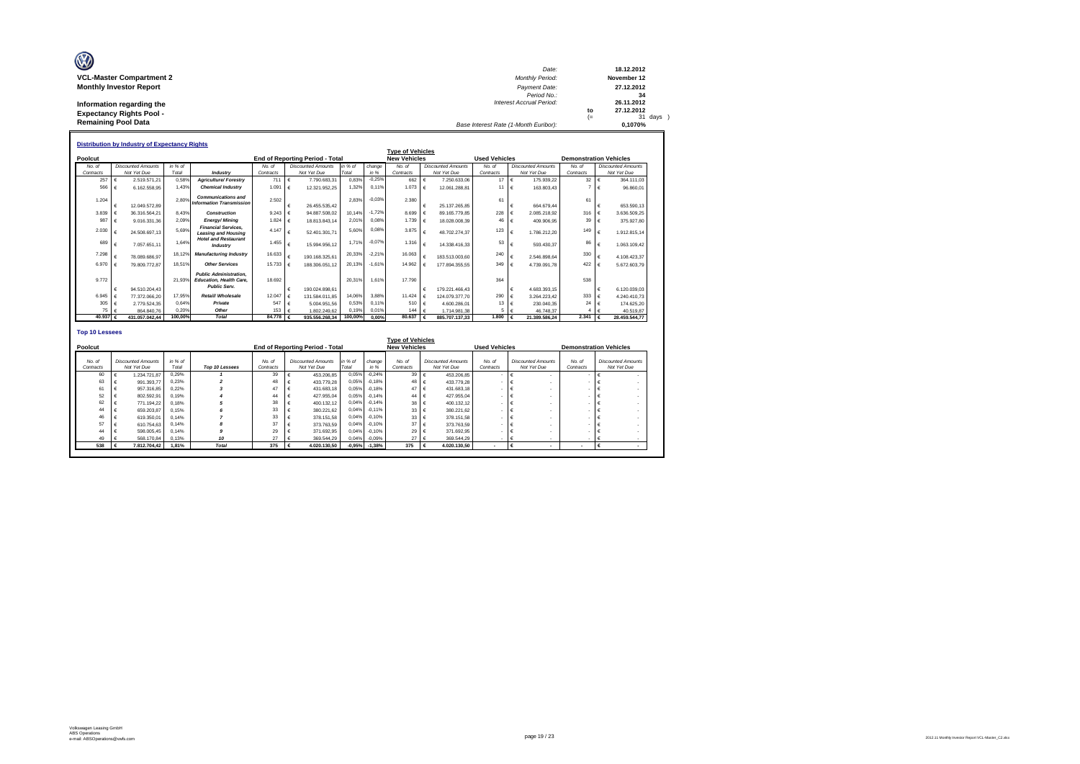| Ø                               |                                       |      |             |
|---------------------------------|---------------------------------------|------|-------------|
|                                 | Date:                                 |      | 18.12.2012  |
| <b>VCL-Master Compartment 2</b> | <b>Monthly Period:</b>                |      | November 12 |
| <b>Monthly Investor Report</b>  | Payment Date:                         |      | 27.12.2012  |
|                                 | Period No.:                           |      | 34          |
| Information regarding the       | <b>Interest Accrual Period:</b>       |      | 26.11.2012  |
| <b>Expectancy Rights Pool -</b> |                                       | to   | 27.12.2012  |
|                                 |                                       | $(=$ | 31 days     |
| <b>Remaining Pool Data</b>      | Base Interest Rate (1-Month Euribor): |      | 0.1070%     |

|                       | <b>Distribution by Industry of Expectancy Rights</b> |                       |                                         |           |   |                                        |         |          |                         |            |                           |                        |            |                           |                               |                           |
|-----------------------|------------------------------------------------------|-----------------------|-----------------------------------------|-----------|---|----------------------------------------|---------|----------|-------------------------|------------|---------------------------|------------------------|------------|---------------------------|-------------------------------|---------------------------|
|                       |                                                      |                       |                                         |           |   |                                        |         |          | <b>Type of Vehicles</b> |            |                           |                        |            |                           |                               |                           |
| Poolcut               |                                                      |                       |                                         |           |   | <b>End of Reporting Period - Total</b> |         |          | <b>New Vehicles</b>     |            |                           | <b>Used Vehicles</b>   |            |                           | <b>Demonstration Vehicles</b> |                           |
| No. of                | <b>Discounted Amounts</b>                            | in % of               |                                         | No. of    |   | <b>Discounted Amounts</b>              | in % of | change   | No. of                  |            | <b>Discounted Amounts</b> | No. of                 |            | <b>Discounted Amounts</b> | No. of                        | <b>Discounted Amounts</b> |
| Contracts             | Not Yet Due                                          | Total                 | Industry                                | Contracts |   | Not Yet Due                            | Total   | in %     | Contracts               |            | Not Yet Due               | Contracts              |            | Not Yet Due               | Contracts                     | Not Yet Due               |
| 257                   | 2.519.571.21<br>$\epsilon$                           | 0.58%                 | <b>Agriculture/Forestrv</b>             | 711       | € | 7.790.683.31                           | 0.83%   | $-0.25%$ | 662                     | $\epsilon$ | 7.250.633.06              | $17 \quad \in$         |            | 175.939.22                | 32                            | 364.111.03                |
| 566                   | €                                                    | 1.43%<br>6.162.558.95 | <b>Chemical Industry</b>                | 1.091     | € | 12.321.952.25                          | 1.32%   | 0.11%    | 1.073                   | $\epsilon$ | 12.061.288.81             | 11                     | $\vdash$   | 163.803.43                |                               | 96,860.01                 |
| 1.204                 |                                                      | 2.80%                 | <b>Communications and</b>               | 2.502     |   |                                        | 2.83%   | $-0.039$ | 2.380                   |            |                           |                        |            |                           |                               |                           |
|                       | 12.049.572.89<br>$\epsilon$                          |                       | <b>Information Transmission</b>         |           |   | 26.455.535.42                          |         |          |                         | €          | 25.137.265.85             | 61                     | €          | 664.679.44                | 61                            | 653,590.13                |
| 3.839                 | 36.316.564.21                                        | 8.43%                 | Construction                            | 9.243     |   | 94.887.508.02                          | 10.14%  | $-1.729$ | 8,699                   |            | 89.165.779.85             | 228                    |            | 2.085.218.92              | 316                           | 3.636.509.25              |
| 987                   | $\epsilon$                                           | 2.09%<br>9.016.331.36 | <b>Energy/Mining</b>                    | 1.824     |   | 18.813.843.14                          | 2,01%   | 0,08%    | 1.739                   |            | 18.028.008.39             | 46 $\in$               |            | 409.906,95                | 39                            | 375.927.80                |
| 2.030                 |                                                      | 5.69%                 | <b>Financial Services.</b>              | 4.147     |   |                                        | 5.60%   | 0.08%    | 3.875                   |            |                           | 123                    |            |                           | 149                           |                           |
|                       | 24.508.697.13                                        |                       | <b>Leasing and Housing</b>              |           |   | 52.401.301.71                          |         |          |                         | €          | 48.702.274.37             |                        | $\epsilon$ | 1.786.212.20              |                               | 1.912.815.14              |
| 689                   | 7.057.651.11<br>$\epsilon$                           | 1.64%                 | <b>Hotel and Restaurant</b><br>Industry | 1.455     | € | 15.994.956.12                          | 1.71%   | $-0.079$ | 1.316                   |            | 14.338.416.33             | 53                     | €          | 593.430.37                | 86                            | 1.063.109.42              |
|                       |                                                      |                       |                                         |           |   |                                        |         |          |                         |            |                           |                        |            |                           |                               |                           |
| 7.298                 | 78.089.686.97                                        | 18.129                | <b>Manufacturing Industry</b>           | 16.633    |   | 190.168.325.61                         | 20.33%  | $-2.21%$ | 16.063                  |            | 183.513.003.60            | 240                    | €          | 2.546.898.64              | 330                           | 4.108.423.37              |
| 6,970                 | 79.809.772.87                                        | 18.51%                | <b>Other Services</b>                   | 15.733    |   | 188.306.051.12                         | 20,13%  | $-1.61%$ | 14.962                  |            | 177.894.355.55            | 349 $\epsilon$         |            | 4.739.091.78              | 422                           | 5.672.603.79              |
|                       |                                                      |                       | <b>Public Administration.</b>           |           |   |                                        |         |          |                         |            |                           |                        |            |                           |                               |                           |
| 9.772                 |                                                      | 21.93%                | <b>Education, Health Care.</b>          | 18,692    |   |                                        | 20.31%  | 1.61%    | 17.790                  |            |                           | 364                    |            |                           | 538                           |                           |
|                       | $\epsilon$                                           | 94.510.204.43         | Public Serv.                            |           | € | 190.024.898.61                         |         |          |                         | €          | 179.221.466.43            |                        | $\epsilon$ | 4.683.393.15              |                               | 6.120.039.03              |
| 6.945                 | $\epsilon$<br>77.372.066.20                          | 17.95%                | Retail/ Wholesale                       | 12.047    | € | 131.584.011.85                         | 14.06%  | 3.88%    | 11.424                  |            | 124.079.377.70            | 290 €                  |            | 3.264.223.42              | 333                           | 4.240.410.73              |
| 305                   | €                                                    | 2.779.524.35<br>0.64% | Private                                 | 547       |   | 5.004.951.56                           | 0.53%   | 0.11%    | 510                     |            | 4.600.286.01              | 13                     | $\epsilon$ | 230.040.35                | 24                            | 174.625.20                |
| 75                    | $\epsilon$                                           | 0.20%<br>864,840.76   | Other                                   | 153       |   | 1.802.249.62                           | 0.19%   | 0.01%    | 144                     |            | 1.714.981.38              | 5                      |            | 46.748,37                 |                               | 40.519.87                 |
| 40.937 $\epsilon$     | 431.057.042.44                                       | 100,00%               | <b>Total</b>                            | 84.778    |   | 935.556.268.34                         | 100,00% | 0.00%    | 80.637                  | $\epsilon$ | 885.707.137.33            | $1.800 \quad \epsilon$ |            | 21.389.586.24             | 2.341                         | 28.459.544.77             |
|                       |                                                      |                       |                                         |           |   |                                        |         |          |                         |            |                           |                        |            |                           |                               |                           |
| <b>Top 10 Lessees</b> |                                                      |                       |                                         |           |   |                                        |         |          |                         |            |                           |                        |            |                           |                               |                           |
|                       |                                                      |                       |                                         |           |   |                                        |         |          | Type of Vobieles        |            |                           |                        |            |                           |                               |                           |

| <b>Type of venicles</b> |  |                           |         |                |           |  |                                 |          |          |                     |  |                           |                      |                           |                               |                           |  |
|-------------------------|--|---------------------------|---------|----------------|-----------|--|---------------------------------|----------|----------|---------------------|--|---------------------------|----------------------|---------------------------|-------------------------------|---------------------------|--|
| Poolcut                 |  |                           |         |                |           |  | End of Reporting Period - Total |          |          | <b>New Vehicles</b> |  |                           | <b>Used Vehicles</b> |                           | <b>Demonstration Vehicles</b> |                           |  |
|                         |  |                           |         |                |           |  |                                 |          |          |                     |  |                           |                      |                           |                               |                           |  |
| No. of                  |  | <b>Discounted Amounts</b> | in % of |                | No. of    |  | <b>Discounted Amounts</b>       | in % of  | change   | No. of              |  | <b>Discounted Amounts</b> | No. of               | <b>Discounted Amounts</b> | No. of                        | <b>Discounted Amounts</b> |  |
| Contracts               |  | Not Yet Due               | Total   | Top 10 Lessees | Contracts |  | Not Yet Due                     | Total    | in %     | Contracts           |  | Not Yet Due               | Contracts            | Not Yet Due               | Contracts                     | Not Yet Due               |  |
| 60                      |  | 1.234.721.87              | 0.29%   |                | 39        |  | 453.206.85                      | 0.05%    | $-0.24%$ | 39                  |  | 453.206.85                |                      |                           |                               |                           |  |
| 63                      |  | 991.393.77                | 0.23%   |                | 48        |  | 433,779.28                      | 0.05%    | $-0.18%$ | 48                  |  | 433,779.28                |                      |                           |                               |                           |  |
| 61                      |  | 957.316.85                | 0.22%   |                | 47        |  | 431,683.18                      | 0.05%    | $-0.18%$ | 47                  |  | 431,683.18                |                      |                           |                               |                           |  |
| 52                      |  | 802.592.91                | 0.19%   |                | 44        |  | 427.955.04                      | 0.05%    | $-0.14%$ | 44                  |  | 427.955,04                |                      |                           |                               |                           |  |
| 62                      |  | 771.194.22                | 0.18%   |                | 38        |  | 400.132.12                      | 0,04%    | $-0.14%$ | 38                  |  | 400.132.12                |                      |                           |                               |                           |  |
| 44                      |  | 659,203.87                | 0.15%   |                | 33        |  | 380.221.62                      | 0.04%    | $-0.11%$ | 33                  |  | 380.221.62                |                      |                           |                               |                           |  |
| 46                      |  | 619,350.01                | 0.14%   |                | 33        |  | 378.151.58                      | 0.04%    | $-0.10%$ | 33                  |  | 378,151.58                |                      |                           |                               |                           |  |
| 57                      |  | 610.754.63                | 0.14%   |                | 37        |  | 373,763.59                      | 0,04%    | $-0.10%$ | 37                  |  | 373,763.59                |                      |                           |                               |                           |  |
| 44                      |  | 598,005.45                | 0.14%   |                | 29        |  | 371,692.95                      | 0,04%    | $-0.10%$ | 29                  |  | 371.692.95                |                      |                           |                               |                           |  |
| 49                      |  | 568.170.84                | 0.13%   | 10             | 27        |  | 369.544.29                      | 0.04%    | $-0.09%$ | 27 <sup>1</sup>     |  | 369.544.29                |                      |                           |                               |                           |  |
| 538                     |  | 7.812.704.42              | 1.81%   | <b>Total</b>   | 375       |  | 4.020.130.50                    | $-0,95%$ | $-1.38%$ | 375                 |  | 4.020.130.50              | ٠                    |                           |                               |                           |  |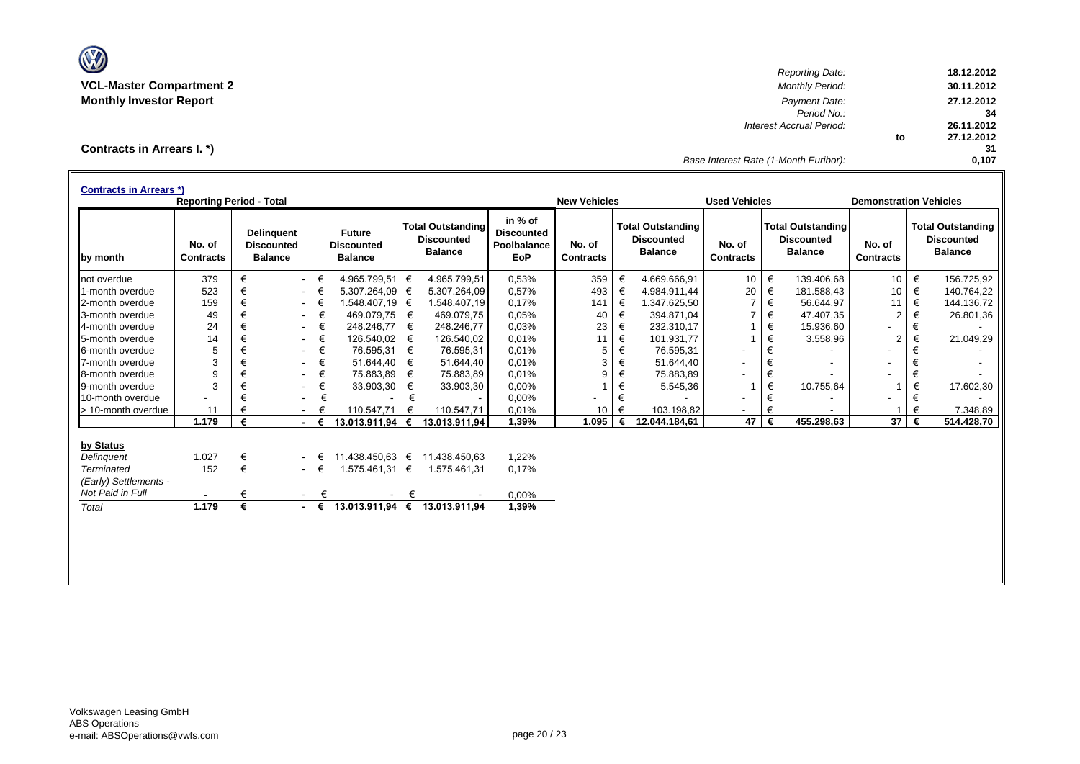

*Reporting Date:* **18.12.2012 VCL-Master Compartment 2** *Monthly Period:* **30.11.2012 Monthly Investor Report** *Payment Date:* **27.12.2012** *Period No.:* **34** *Interest Accrual Period:* **26.11.2012 to 27.12.2012 31** *Base Interest Rate (1-Month Euribor):* **0,107**

# **Contracts in Arrears I. \*)**

| <b>Contracts in Arrears *)</b> | <b>Reporting Period - Total</b> |   |                                                          |             |                                                      |   |                                                                 |                                                    | <b>New Vehicles</b>        |       |                                                                 | <b>Used Vehicles</b>       |       |                                                                 | <b>Demonstration Vehicles</b> |   |                                                                 |
|--------------------------------|---------------------------------|---|----------------------------------------------------------|-------------|------------------------------------------------------|---|-----------------------------------------------------------------|----------------------------------------------------|----------------------------|-------|-----------------------------------------------------------------|----------------------------|-------|-----------------------------------------------------------------|-------------------------------|---|-----------------------------------------------------------------|
| by month                       | No. of<br><b>Contracts</b>      |   | <b>Delinguent</b><br><b>Discounted</b><br><b>Balance</b> |             | <b>Future</b><br><b>Discounted</b><br><b>Balance</b> |   | <b>Total Outstanding</b><br><b>Discounted</b><br><b>Balance</b> | in % of<br><b>Discounted</b><br>Poolbalance<br>EoP | No. of<br><b>Contracts</b> |       | <b>Total Outstanding</b><br><b>Discounted</b><br><b>Balance</b> | No. of<br><b>Contracts</b> |       | <b>Total Outstanding</b><br><b>Discounted</b><br><b>Balance</b> | No. of<br><b>Contracts</b>    |   | <b>Total Outstanding</b><br><b>Discounted</b><br><b>Balance</b> |
| not overdue                    | 379                             | € | $\blacksquare$                                           | €           | 4.965.799,51                                         | € | 4.965.799,51                                                    | 0,53%                                              | 359                        | €     | 4.669.666,91                                                    | 10                         | $\in$ | 139.406,68                                                      | 10 <sup>1</sup>               | € | 156.725,92                                                      |
| 1-month overdue                | 523                             | € | $\overline{\phantom{a}}$                                 | €           | 5.307.264,09                                         | € | 5.307.264,09                                                    | 0,57%                                              | 493                        | €     | 4.984.911,44                                                    | 20                         | €     | 181.588,43                                                      | 10                            | € | 140.764,22                                                      |
| 2-month overdue                | 159                             | € | $\sim$                                                   | €           | 1.548.407.19 €                                       |   | 1.548.407.19                                                    | 0.17%                                              | 141                        | €     | 1.347.625.50                                                    |                            | $\in$ | 56.644.97                                                       | 11                            | € | 144.136,72                                                      |
| 3-month overdue                | 49                              | € | $\sim$                                                   | €           | 469.079.75                                           | € | 469.079,75                                                      | 0,05%                                              | 40                         | €     | 394.871,04                                                      |                            | €     | 47.407,35                                                       | 2                             | € | 26.801,36                                                       |
| 4-month overdue                | 24                              | € | $\overline{\phantom{a}}$                                 | €           | 248.246,77                                           | € | 248.246,77                                                      | 0.03%                                              | 23                         | €     | 232.310,17                                                      |                            | €     | 15.936,60                                                       |                               | € |                                                                 |
| 5-month overdue                | 14                              | € | $\overline{\phantom{a}}$                                 | €           | 126.540,02                                           | € | 126.540,02                                                      | 0,01%                                              | 11                         | $\in$ | 101.931,77                                                      |                            | €     | 3.558,96                                                        | 2                             | € | 21.049,29                                                       |
| 6-month overdue                | 5                               | € | $\overline{\phantom{a}}$                                 | €           | 76.595,31                                            | € | 76.595,31                                                       | 0,01%                                              | 5                          | €     | 76.595,31                                                       |                            | €     |                                                                 |                               | € |                                                                 |
| 7-month overdue                | 3                               | € | $\blacksquare$                                           | €           | 51.644,40                                            | € | 51.644,40                                                       | 0,01%                                              | 3                          | €     | 51.644,40                                                       | $\overline{\phantom{a}}$   | €     |                                                                 |                               | € |                                                                 |
| 8-month overdue                | 9                               |   | $\blacksquare$                                           | €           | 75.883,89                                            | € | 75.883,89                                                       | 0,01%                                              | 9                          | €     | 75.883,89                                                       | ٠                          | €     |                                                                 |                               | € |                                                                 |
| 9-month overdue                | 3                               | € | $\overline{\phantom{a}}$                                 | €           | 33.903,30                                            | € | 33.903,30                                                       | 0,00%                                              |                            | €     | 5.545,36                                                        |                            | €     | 10.755,64                                                       | 1                             | € | 17.602,30                                                       |
| 10-month overdue               |                                 | € | $\overline{\phantom{a}}$                                 | €           |                                                      | € |                                                                 | 0,00%                                              |                            | €     |                                                                 |                            | €     |                                                                 |                               | € |                                                                 |
| > 10-month overdue             | 11                              |   | $\overline{\phantom{a}}$                                 | €           | 110.547.71                                           | € | 110.547,71                                                      | 0,01%                                              | 10                         | €     | 103.198,82                                                      |                            | €     |                                                                 |                               | € | 7.348,89                                                        |
|                                | 1.179                           | € |                                                          | €           | $13.013.911.94$ €                                    |   | 13.013.911,94                                                   | 1,39%                                              | 1.095                      | €     | 12.044.184,61                                                   | 47                         | €     | 455.298,63                                                      | 37                            | € | 514.428,70                                                      |
| by Status                      |                                 |   |                                                          |             |                                                      |   |                                                                 |                                                    |                            |       |                                                                 |                            |       |                                                                 |                               |   |                                                                 |
| Delinguent                     | 1.027                           | € | $\sim$                                                   | €           | 11.438.450.63 €                                      |   | 11.438.450.63                                                   | 1,22%                                              |                            |       |                                                                 |                            |       |                                                                 |                               |   |                                                                 |
| <b>Terminated</b>              | 152                             | € |                                                          | $ \in$      | 1.575.461,31 €                                       |   | 1.575.461,31                                                    | 0.17%                                              |                            |       |                                                                 |                            |       |                                                                 |                               |   |                                                                 |
| (Early) Settlements -          |                                 |   |                                                          |             |                                                      |   |                                                                 |                                                    |                            |       |                                                                 |                            |       |                                                                 |                               |   |                                                                 |
| Not Paid in Full               |                                 | € | $\sim 100$                                               | €           |                                                      | € |                                                                 | $0.00\%$                                           |                            |       |                                                                 |                            |       |                                                                 |                               |   |                                                                 |
|                                | 1.179                           | € |                                                          | $ \epsilon$ | 13.013.911,94                                        | € | 13.013.911,94                                                   | 1,39%                                              |                            |       |                                                                 |                            |       |                                                                 |                               |   |                                                                 |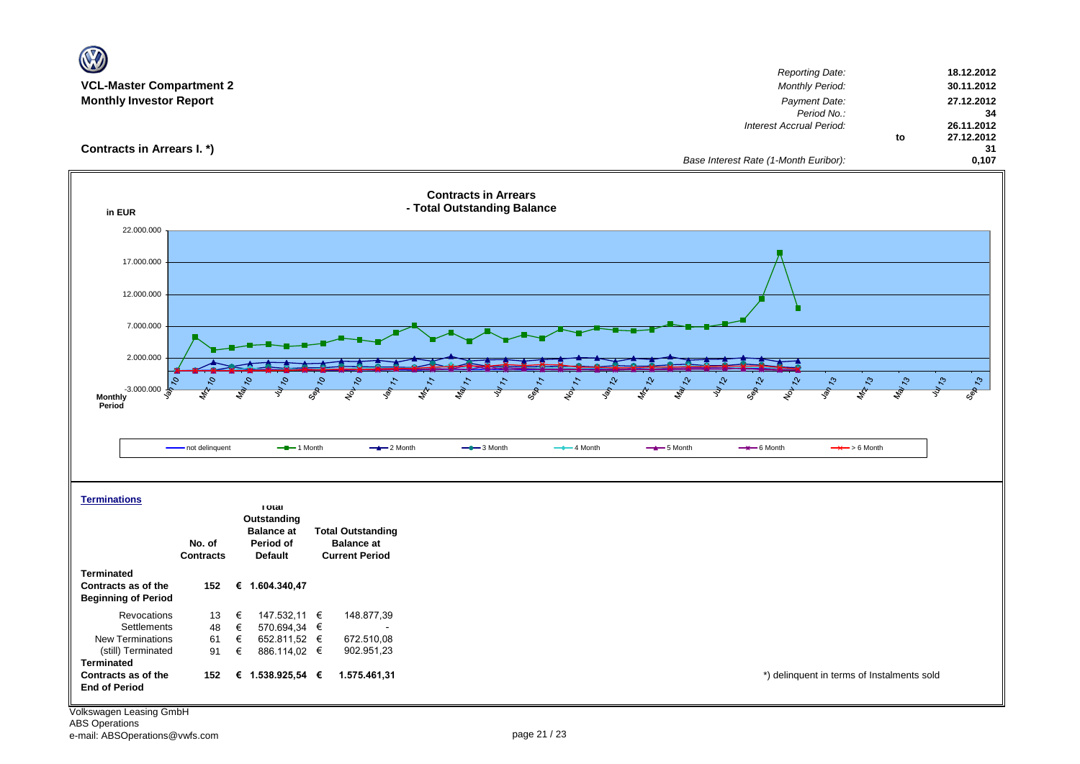|                                                                   |                  |                                                              |                                                            | <b>Reporting Date:</b>                                            | 18.12.2012                     |
|-------------------------------------------------------------------|------------------|--------------------------------------------------------------|------------------------------------------------------------|-------------------------------------------------------------------|--------------------------------|
| <b>VCL-Master Compartment 2</b><br><b>Monthly Investor Report</b> |                  |                                                              |                                                            | <b>Monthly Period:</b><br>Payment Date:                           | 30.11.2012<br>27.12.2012       |
|                                                                   |                  |                                                              |                                                            | Period No.:                                                       | 34                             |
|                                                                   |                  |                                                              |                                                            | Interest Accrual Period:                                          | 26.11.2012<br>27.12.2012<br>to |
| Contracts in Arrears I. *)                                        |                  |                                                              |                                                            |                                                                   | 31                             |
|                                                                   |                  |                                                              |                                                            | Base Interest Rate (1-Month Euribor):                             | 0,107                          |
| in EUR                                                            |                  |                                                              | <b>Contracts in Arrears</b><br>- Total Outstanding Balance |                                                                   |                                |
| 22.000.000                                                        |                  |                                                              |                                                            |                                                                   |                                |
|                                                                   |                  |                                                              |                                                            |                                                                   |                                |
| 17.000.000                                                        |                  |                                                              |                                                            |                                                                   |                                |
| 12.000.000                                                        |                  |                                                              |                                                            |                                                                   |                                |
|                                                                   |                  |                                                              |                                                            |                                                                   |                                |
| 7.000.000                                                         |                  |                                                              |                                                            |                                                                   |                                |
|                                                                   |                  |                                                              |                                                            |                                                                   |                                |
| 2.000.000                                                         |                  |                                                              |                                                            |                                                                   |                                |
|                                                                   | 2,               | $\mathcal{S}_1$<br>9,                                        | $\Omega_{\star}$                                           | $\mathcal{L}$<br>$\mathcal{L}_{\mathcal{O}}$<br>$\mathcal{L}_{2}$ | $v_{47}$<br>ಿ                  |
| $-3.000.000$<br><b>Monthly</b>                                    |                  | Sep 10<br>$\mathbf{z}$                                       | $\overline{\mathcal{S}}$                                   | <b>SOL</b><br><b>MA</b><br>$\overline{\mathcal{S}}$               | Sep 73                         |
| Period                                                            |                  |                                                              |                                                            |                                                                   |                                |
|                                                                   |                  |                                                              |                                                            |                                                                   |                                |
|                                                                   | - not delinquent | $-2$ Month<br>$-$ -1 Month                                   | $-$ 3 Month<br>$-$ 4 Month                                 | $-$ 5 Month<br>$\rightarrow$ 6 Month<br>$\rightarrow$ > 6 Month   |                                |
|                                                                   |                  |                                                              |                                                            |                                                                   |                                |
|                                                                   |                  |                                                              |                                                            |                                                                   |                                |
| <b>Terminations</b>                                               |                  | <b>Total</b>                                                 |                                                            |                                                                   |                                |
|                                                                   |                  | Outstanding<br><b>Balance</b> at<br><b>Total Outstanding</b> |                                                            |                                                                   |                                |
|                                                                   | No. of           | Period of<br><b>Balance at</b>                               |                                                            |                                                                   |                                |
|                                                                   | <b>Contracts</b> | <b>Default</b><br><b>Current Period</b>                      |                                                            |                                                                   |                                |
| <b>Terminated</b><br>Contracts as of the                          | 152              |                                                              |                                                            |                                                                   |                                |
| <b>Beginning of Period</b>                                        |                  | € 1.604.340,47                                               |                                                            |                                                                   |                                |
| Revocations                                                       | €<br>13          | 148.877,39<br>147.532,11 €                                   |                                                            |                                                                   |                                |
| Settlements<br><b>New Terminations</b>                            | 48<br>€<br>61    | 570.694,34 €<br>652.811,52 €<br>672.510,08                   |                                                            |                                                                   |                                |
| (still) Terminated                                                | €<br>€<br>91     | 902.951,23<br>886.114,02 €                                   |                                                            |                                                                   |                                |
| <b>Terminated</b>                                                 |                  |                                                              |                                                            |                                                                   |                                |
| Contracts as of the<br><b>End of Period</b>                       | 152              | € 1.538.925,54 €<br>1.575.461,31                             |                                                            | *) delinquent in terms of Instalments sold                        |                                |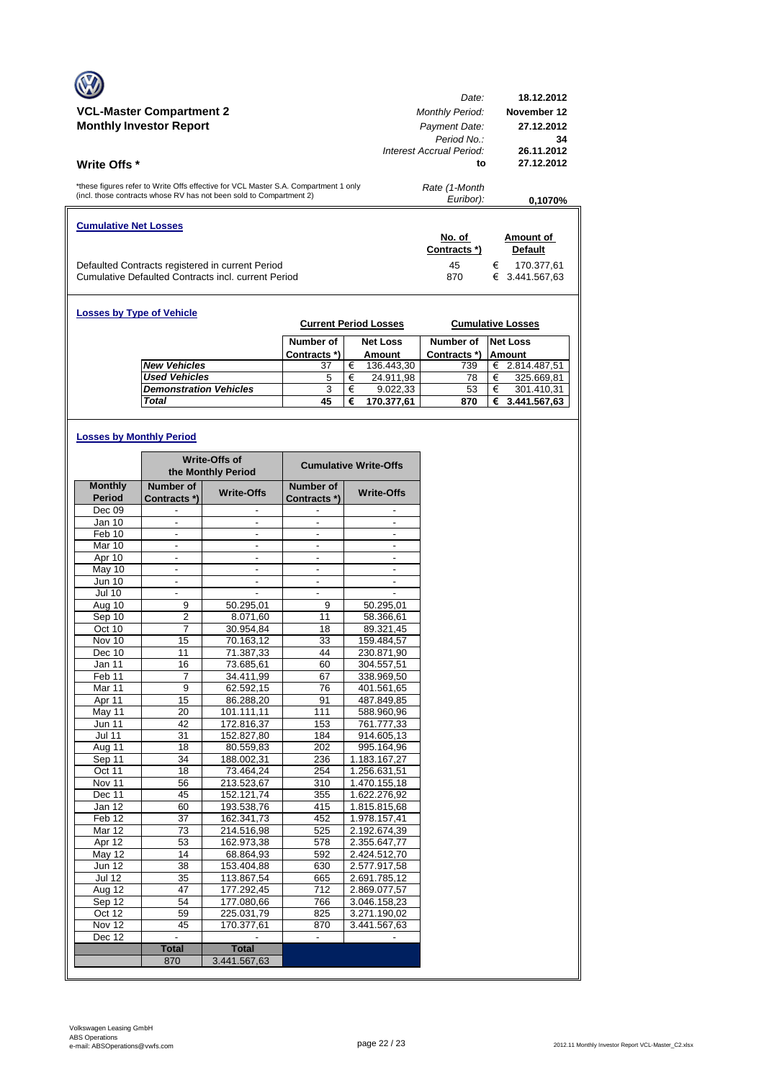|                                                                                                                                                            | Date:                    | 18.12.2012        |
|------------------------------------------------------------------------------------------------------------------------------------------------------------|--------------------------|-------------------|
| <b>VCL-Master Compartment 2</b>                                                                                                                            | <b>Monthly Period:</b>   | November 12       |
| <b>Monthly Investor Report</b>                                                                                                                             | Payment Date:            | 27.12.2012        |
|                                                                                                                                                            | Period No.:              | 34                |
|                                                                                                                                                            | Interest Accrual Period: | 26.11.2012        |
| Write Offs *                                                                                                                                               | to                       | 27.12.2012        |
| *these figures refer to Write Offs effective for VCL Master S.A. Compartment 1 only<br>(incl. those contracts whose RV has not been sold to Compartment 2) | Rate (1-Month            |                   |
|                                                                                                                                                            | Euribor):                | 0.1070%           |
| <b>Cumulative Net Losses</b>                                                                                                                               |                          |                   |
|                                                                                                                                                            | No. of                   | Amount of         |
|                                                                                                                                                            | Contracts *)             | Default           |
| Defaulted Contracts registered in current Period                                                                                                           | 45                       | €<br>170.377,61   |
| Cumulative Defaulted Contracts incl. current Period                                                                                                        | 870                      | 3.441.567,63<br>€ |

| <b>Losses by Type of Vehicle</b> |                               |              |   | <b>Current Period Losses</b> |              |   | <b>Cumulative Losses</b> |
|----------------------------------|-------------------------------|--------------|---|------------------------------|--------------|---|--------------------------|
|                                  |                               | Number of    |   | <b>Net Loss</b>              | Number of    |   | <b>Net Loss</b>          |
|                                  |                               | Contracts *) |   | Amount                       | Contracts *) |   | <b>Amount</b>            |
|                                  | <b>New Vehicles</b>           | 37           | € | 136.443,30                   | 739          | € | 2.814.487,51             |
|                                  | <b>Used Vehicles</b>          | 5            | € | 24.911,98                    | 78           |   | 325.669,81               |
|                                  | <b>Demonstration Vehicles</b> | 3            | € | 9.022.33                     | 53           | € | 301.410,31               |
|                                  | Total                         | 45           | € | 170.377.61                   | 870          | € | 3.441.567,63             |

# **Losses by Monthly Period**

|                   |                          | <b>Write-Offs of</b><br>the Monthly Period |                          | <b>Cumulative Write-Offs</b> |  |
|-------------------|--------------------------|--------------------------------------------|--------------------------|------------------------------|--|
| <b>Monthly</b>    | Number of                | <b>Write-Offs</b>                          | Number of                | <b>Write-Offs</b>            |  |
| <b>Period</b>     | Contracts *)             |                                            | Contracts *)             |                              |  |
| Dec 09            |                          |                                            |                          |                              |  |
| <b>Jan 10</b>     |                          |                                            |                          |                              |  |
| Feb 10            | $\blacksquare$           | ÷.                                         | $\blacksquare$           | ÷.                           |  |
| Mar 10            |                          |                                            | ä,                       |                              |  |
| Apr 10            |                          |                                            |                          |                              |  |
| May 10            | $\blacksquare$           | ٠                                          | $\overline{\phantom{a}}$ | ٠                            |  |
| Jun 10            | $\overline{\phantom{a}}$ |                                            | $\overline{\phantom{a}}$ |                              |  |
| <b>Jul 10</b>     |                          |                                            |                          |                              |  |
| Aug 10            | 9                        | 50.295,01                                  | 9                        | 50.295,01                    |  |
| Sep 10            | $\overline{c}$           | 8.071,60                                   | 11                       | 58.366,61                    |  |
| Oct 10            | 7                        | 30.954,84                                  | 18                       | 89.321,45                    |  |
| Nov 10            | 15                       | 70.163,12                                  | 33                       | 159.484,57                   |  |
| Dec 10            | 11                       | 71.387,33                                  | 44                       | 230.871,90                   |  |
| Jan 11            | 16                       | 73.685,61                                  | 60                       | 304.557,51                   |  |
| Feb 11            | 7                        | 34.411,99                                  | 67                       | 338.969,50                   |  |
| Mar 11            | 9                        | 62.592,15                                  | 76                       | 401.561,65                   |  |
| Apr 11            | 15                       | 86.288,20                                  | 91                       | 487.849,85                   |  |
| May 11            | 20                       | 101.111,11                                 | 111                      | 588.960,96                   |  |
| <b>Jun 11</b>     | 42                       | 172.816,37                                 | 153                      | 761.777,33                   |  |
| <b>Jul 11</b>     | $\overline{31}$          | 152.827,80                                 | 184                      | 914.605,13                   |  |
| Aug 11            | 18                       | 80.559,83                                  | 202                      | 995.164,96                   |  |
| Sep 11            | 34                       | 188.002,31                                 | 236                      | 1.183.167,27                 |  |
| Oct 11            | 18                       | 73.464,24                                  | 254                      | 1.256.631,51                 |  |
| Nov 11            | 56                       | 213.523,67                                 | 310                      | 1.470.155,18                 |  |
| Dec 11            | 45                       | 152.121,74                                 | 355                      | 1.622.276,92                 |  |
| Jan 12            | 60                       | 193.538,76                                 | 415                      | 1.815.815,68                 |  |
| Feb <sub>12</sub> | 37                       | 162.341,73                                 | 452                      | 1.978.157,41                 |  |
| Mar 12            | 73                       | 214.516,98                                 | 525                      | 2.192.674,39                 |  |
| Apr 12            | 53                       | 162.973,38                                 | 578                      | 2.355.647,77                 |  |
| May 12            | 14                       | 68.864,93                                  | 592                      | 2.424.512,70                 |  |
| <b>Jun 12</b>     | 38                       | 153.404,88                                 | 630                      | 2.577.917,58                 |  |
| <b>Jul 12</b>     | 35                       | 113.867,54                                 | 665                      | 2.691.785,12                 |  |
| Aug 12            | 47                       | 177.292,45                                 | $\overline{712}$         | 2.869.077,57                 |  |
| Sep 12            | 54                       | 177.080.66                                 | 766                      | 3.046.158.23                 |  |
| Oct 12            | 59                       | 225.031,79                                 | 825                      | 3.271.190,02                 |  |
| Nov 12            | 45                       | 170.377,61                                 | 870                      | 3.441.567,63                 |  |
| Dec 12            | $\overline{a}$           |                                            | $\mathcal{L}^{\pm}$      | $\blacksquare$               |  |
|                   | <b>Total</b>             | <b>Total</b>                               |                          |                              |  |
|                   | 870                      | 3.441.567,63                               |                          |                              |  |